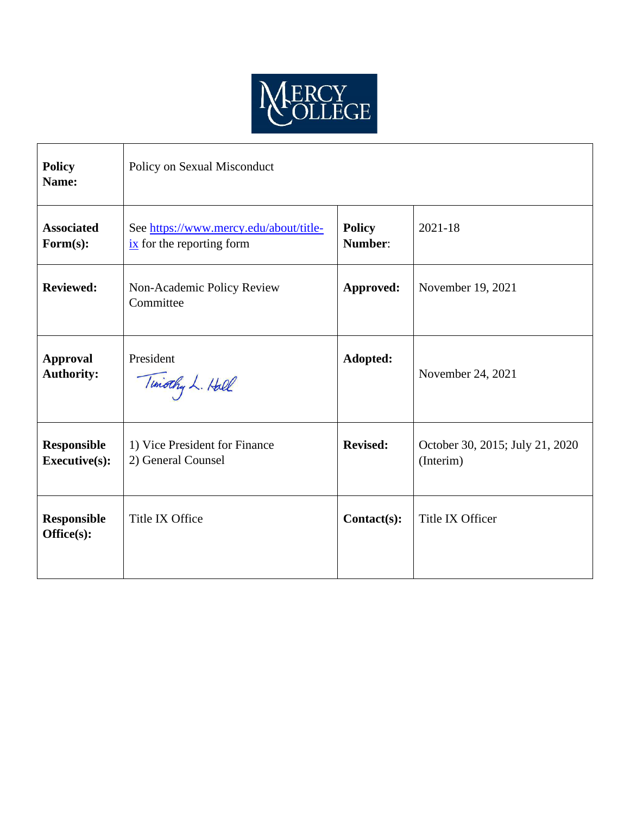

| <b>Policy</b><br>Name:                     | Policy on Sexual Misconduct                                                     |                          |                                              |
|--------------------------------------------|---------------------------------------------------------------------------------|--------------------------|----------------------------------------------|
| <b>Associated</b><br>$\mathbf{Form}(s)$ :  | See https://www.mercy.edu/about/title-<br>$\frac{ix}{ }$ for the reporting form | <b>Policy</b><br>Number: | $2021 - 18$                                  |
| <b>Reviewed:</b>                           | Non-Academic Policy Review<br>Committee                                         | Approved:                | November 19, 2021                            |
| <b>Approval</b><br><b>Authority:</b>       | President<br>Timothy L. Hall                                                    | Adopted:                 | November 24, 2021                            |
| <b>Responsible</b><br><b>Executive(s):</b> | 1) Vice President for Finance<br>2) General Counsel                             | <b>Revised:</b>          | October 30, 2015; July 21, 2020<br>(Interim) |
| <b>Responsible</b><br>Office(s):           | Title IX Office                                                                 | Contact(s):              | Title IX Officer                             |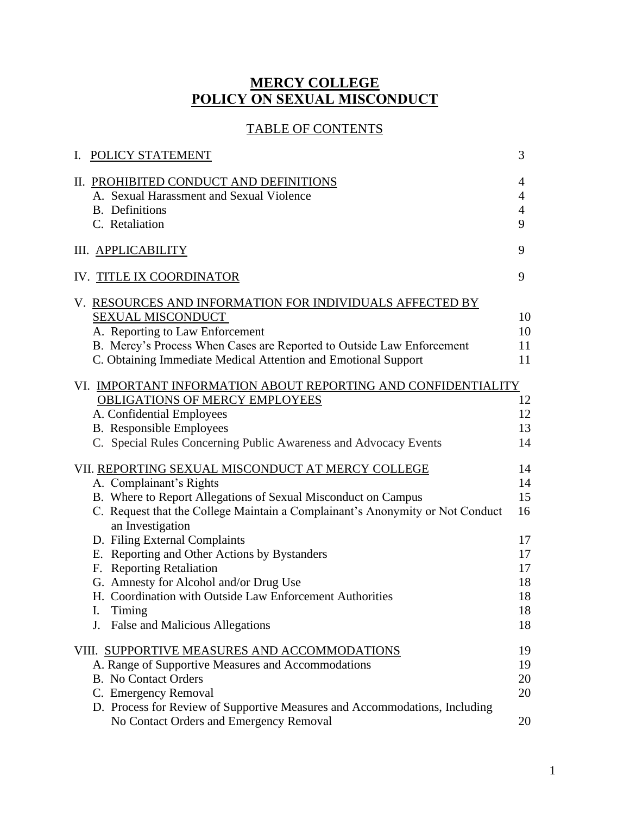# **MERCY COLLEGE POLICY ON SEXUAL MISCONDUCT**

# TABLE OF CONTENTS

| POLICY STATEMENT<br>I.                                                                                                                                                                                                                                                          | 3                                      |
|---------------------------------------------------------------------------------------------------------------------------------------------------------------------------------------------------------------------------------------------------------------------------------|----------------------------------------|
| II. PROHIBITED CONDUCT AND DEFINITIONS<br>A. Sexual Harassment and Sexual Violence<br><b>B.</b> Definitions<br>C. Retaliation                                                                                                                                                   | 4<br>4<br>4<br>9                       |
| III. APPLICABILITY                                                                                                                                                                                                                                                              | 9                                      |
| IV. TITLE IX COORDINATOR                                                                                                                                                                                                                                                        | 9                                      |
| V. RESOURCES AND INFORMATION FOR INDIVIDUALS AFFECTED BY<br>SEXUAL MISCONDUCT<br>A. Reporting to Law Enforcement<br>B. Mercy's Process When Cases are Reported to Outside Law Enforcement<br>C. Obtaining Immediate Medical Attention and Emotional Support                     | 10<br>10<br>11<br>11                   |
| VI. IMPORTANT INFORMATION ABOUT REPORTING AND CONFIDENTIALITY<br>OBLIGATIONS OF MERCY EMPLOYEES<br>A. Confidential Employees<br><b>B.</b> Responsible Employees<br>C. Special Rules Concerning Public Awareness and Advocacy Events                                             | 12<br>12<br>13<br>14                   |
| VII. REPORTING SEXUAL MISCONDUCT AT MERCY COLLEGE<br>A. Complainant's Rights                                                                                                                                                                                                    | 14<br>14                               |
| B. Where to Report Allegations of Sexual Misconduct on Campus<br>C. Request that the College Maintain a Complainant's Anonymity or Not Conduct<br>an Investigation                                                                                                              | 15<br>16                               |
| D. Filing External Complaints<br>E. Reporting and Other Actions by Bystanders<br>F. Reporting Retaliation<br>G. Amnesty for Alcohol and/or Drug Use<br>H. Coordination with Outside Law Enforcement Authorities<br>Timing<br>I.<br><b>False and Malicious Allegations</b><br>J. | 17<br>17<br>17<br>18<br>18<br>18<br>18 |
| VIII. SUPPORTIVE MEASURES AND ACCOMMODATIONS<br>A. Range of Supportive Measures and Accommodations<br><b>B.</b> No Contact Orders<br>C. Emergency Removal                                                                                                                       | 19<br>19<br>20<br>20                   |
| D. Process for Review of Supportive Measures and Accommodations, Including<br>No Contact Orders and Emergency Removal                                                                                                                                                           | 20                                     |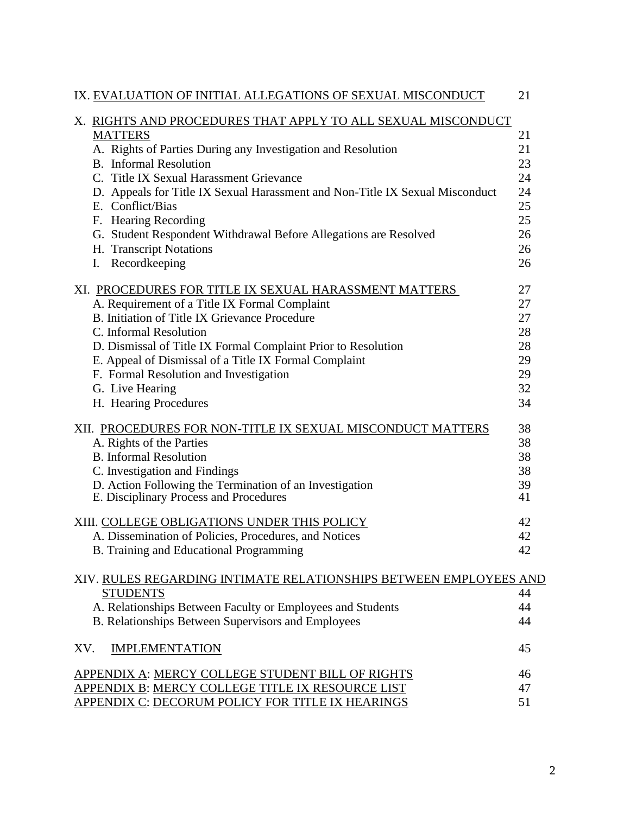| IX. EVALUATION OF INITIAL ALLEGATIONS OF SEXUAL MISCONDUCT                   | 21 |
|------------------------------------------------------------------------------|----|
| X. RIGHTS AND PROCEDURES THAT APPLY TO ALL SEXUAL MISCONDUCT                 |    |
| <b>MATTERS</b>                                                               | 21 |
| A. Rights of Parties During any Investigation and Resolution                 | 21 |
| <b>B.</b> Informal Resolution                                                | 23 |
| C. Title IX Sexual Harassment Grievance                                      | 24 |
| D. Appeals for Title IX Sexual Harassment and Non-Title IX Sexual Misconduct | 24 |
| E. Conflict/Bias                                                             | 25 |
| F. Hearing Recording                                                         | 25 |
| G. Student Respondent Withdrawal Before Allegations are Resolved             | 26 |
| H. Transcript Notations                                                      | 26 |
| Recordkeeping<br>I.                                                          | 26 |
| XI. PROCEDURES FOR TITLE IX SEXUAL HARASSMENT MATTERS                        | 27 |
| A. Requirement of a Title IX Formal Complaint                                | 27 |
| B. Initiation of Title IX Grievance Procedure                                | 27 |
| C. Informal Resolution                                                       | 28 |
| D. Dismissal of Title IX Formal Complaint Prior to Resolution                | 28 |
| E. Appeal of Dismissal of a Title IX Formal Complaint                        | 29 |
| F. Formal Resolution and Investigation                                       | 29 |
| G. Live Hearing                                                              | 32 |
| H. Hearing Procedures                                                        | 34 |
| XII. PROCEDURES FOR NON-TITLE IX SEXUAL MISCONDUCT MATTERS                   | 38 |
| A. Rights of the Parties                                                     | 38 |
| <b>B.</b> Informal Resolution                                                | 38 |
| C. Investigation and Findings                                                | 38 |
| D. Action Following the Termination of an Investigation                      | 39 |
| E. Disciplinary Process and Procedures                                       | 41 |
| XIII. COLLEGE OBLIGATIONS UNDER THIS POLICY                                  | 42 |
| A. Dissemination of Policies, Procedures, and Notices                        | 42 |
| B. Training and Educational Programming                                      | 42 |
| XIV. RULES REGARDING INTIMATE RELATIONSHIPS BETWEEN EMPLOYEES AND            |    |
| <b>STUDENTS</b>                                                              | 44 |
| A. Relationships Between Faculty or Employees and Students                   | 44 |
| B. Relationships Between Supervisors and Employees                           | 44 |
| XV.<br><b>IMPLEMENTATION</b>                                                 | 45 |
| APPENDIX A: MERCY COLLEGE STUDENT BILL OF RIGHTS                             | 46 |
| APPENDIX B: MERCY COLLEGE TITLE IX RESOURCE LIST                             | 47 |
| APPENDIX C: DECORUM POLICY FOR TITLE IX HEARINGS                             | 51 |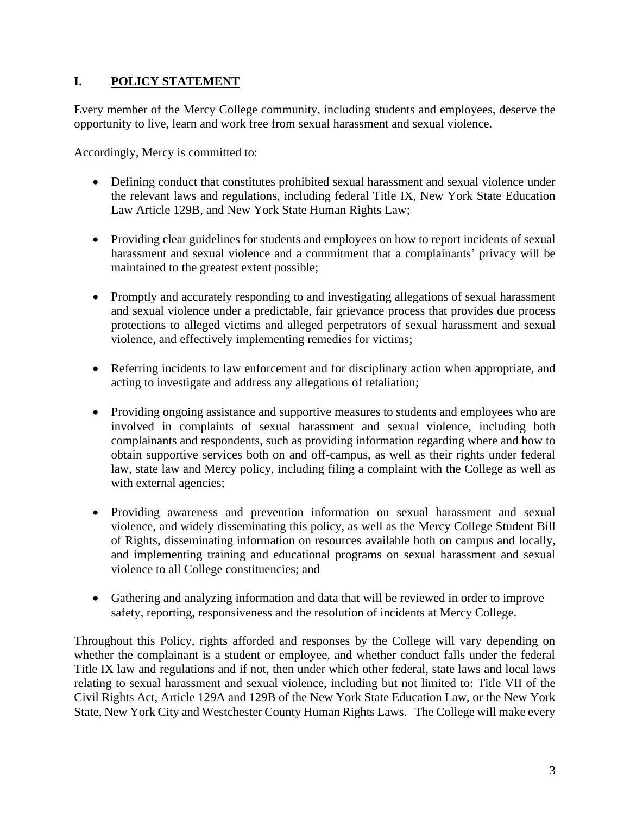# **I. POLICY STATEMENT**

Every member of the Mercy College community, including students and employees, deserve the opportunity to live, learn and work free from sexual harassment and sexual violence.

Accordingly, Mercy is committed to:

- Defining conduct that constitutes prohibited sexual harassment and sexual violence under the relevant laws and regulations, including federal Title IX, New York State Education Law Article 129B, and New York State Human Rights Law;
- Providing clear guidelines for students and employees on how to report incidents of sexual harassment and sexual violence and a commitment that a complainants' privacy will be maintained to the greatest extent possible;
- Promptly and accurately responding to and investigating allegations of sexual harassment and sexual violence under a predictable, fair grievance process that provides due process protections to alleged victims and alleged perpetrators of sexual harassment and sexual violence, and effectively implementing remedies for victims;
- Referring incidents to law enforcement and for disciplinary action when appropriate, and acting to investigate and address any allegations of retaliation;
- Providing ongoing assistance and supportive measures to students and employees who are involved in complaints of sexual harassment and sexual violence, including both complainants and respondents, such as providing information regarding where and how to obtain supportive services both on and off-campus, as well as their rights under federal law, state law and Mercy policy, including filing a complaint with the College as well as with external agencies;
- Providing awareness and prevention information on sexual harassment and sexual violence, and widely disseminating this policy, as well as the Mercy College Student Bill of Rights, disseminating information on resources available both on campus and locally, and implementing training and educational programs on sexual harassment and sexual violence to all College constituencies; and
- Gathering and analyzing information and data that will be reviewed in order to improve safety, reporting, responsiveness and the resolution of incidents at Mercy College.

Throughout this Policy, rights afforded and responses by the College will vary depending on whether the complainant is a student or employee, and whether conduct falls under the federal Title IX law and regulations and if not, then under which other federal, state laws and local laws relating to sexual harassment and sexual violence, including but not limited to: Title VII of the Civil Rights Act, Article 129A and 129B of the New York State Education Law, or the New York State, New York City and Westchester County Human Rights Laws. The College will make every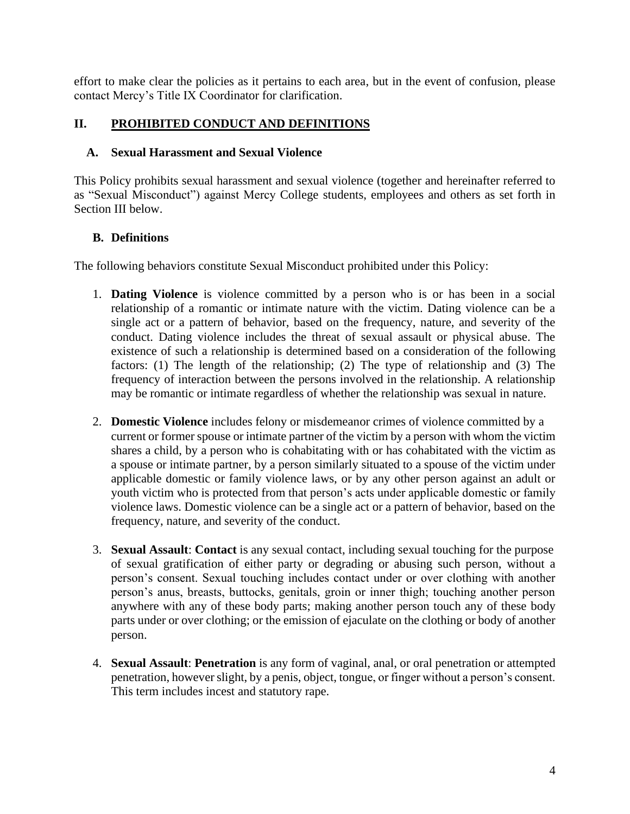effort to make clear the policies as it pertains to each area, but in the event of confusion, please contact Mercy's Title IX Coordinator for clarification.

### **II. PROHIBITED CONDUCT AND DEFINITIONS**

#### **A. Sexual Harassment and Sexual Violence**

This Policy prohibits sexual harassment and sexual violence (together and hereinafter referred to as "Sexual Misconduct") against Mercy College students, employees and others as set forth in Section III below.

### **B. Definitions**

The following behaviors constitute Sexual Misconduct prohibited under this Policy:

- 1. **Dating Violence** is violence committed by a person who is or has been in a social relationship of a romantic or intimate nature with the victim. Dating violence can be a single act or a pattern of behavior, based on the frequency, nature, and severity of the conduct. Dating violence includes the threat of sexual assault or physical abuse. The existence of such a relationship is determined based on a consideration of the following factors: (1) The length of the relationship; (2) The type of relationship and (3) The frequency of interaction between the persons involved in the relationship. A relationship may be romantic or intimate regardless of whether the relationship was sexual in nature.
- 2. **Domestic Violence** includes felony or misdemeanor crimes of violence committed by a current or former spouse or intimate partner of the victim by a person with whom the victim shares a child, by a person who is cohabitating with or has cohabitated with the victim as a spouse or intimate partner, by a person similarly situated to a spouse of the victim under applicable domestic or family violence laws, or by any other person against an adult or youth victim who is protected from that person's acts under applicable domestic or family violence laws. Domestic violence can be a single act or a pattern of behavior, based on the frequency, nature, and severity of the conduct.
- 3. **Sexual Assault**: **Contact** is any sexual contact, including sexual touching for the purpose of sexual gratification of either party or degrading or abusing such person, without a person's consent. Sexual touching includes contact under or over clothing with another person's anus, breasts, buttocks, genitals, groin or inner thigh; touching another person anywhere with any of these body parts; making another person touch any of these body parts under or over clothing; or the emission of ejaculate on the clothing or body of another person.
- 4. **Sexual Assault**: **Penetration** is any form of vaginal, anal, or oral penetration or attempted penetration, however slight, by a penis, object, tongue, or finger without a person's consent. This term includes incest and statutory rape.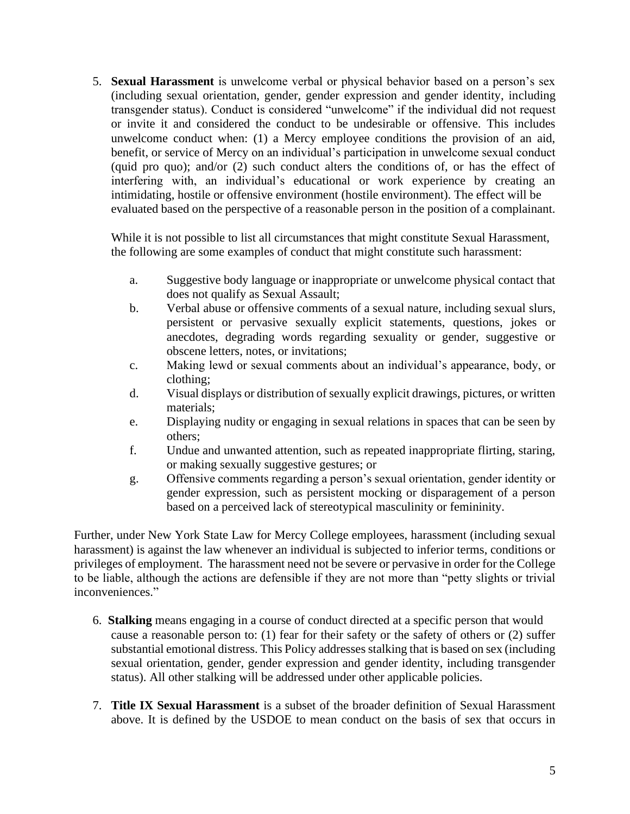5. **Sexual Harassment** is unwelcome verbal or physical behavior based on a person's sex (including sexual orientation, gender, gender expression and gender identity, including transgender status). Conduct is considered "unwelcome" if the individual did not request or invite it and considered the conduct to be undesirable or offensive. This includes unwelcome conduct when: (1) a Mercy employee conditions the provision of an aid, benefit, or service of Mercy on an individual's participation in unwelcome sexual conduct (quid pro quo); and/or (2) such conduct alters the conditions of, or has the effect of interfering with, an individual's educational or work experience by creating an intimidating, hostile or offensive environment (hostile environment). The effect will be evaluated based on the perspective of a reasonable person in the position of a complainant.

While it is not possible to list all circumstances that might constitute Sexual Harassment, the following are some examples of conduct that might constitute such harassment:

- a. Suggestive body language or inappropriate or unwelcome physical contact that does not qualify as Sexual Assault;
- b. Verbal abuse or offensive comments of a sexual nature, including sexual slurs, persistent or pervasive sexually explicit statements, questions, jokes or anecdotes, degrading words regarding sexuality or gender, suggestive or obscene letters, notes, or invitations;
- c. Making lewd or sexual comments about an individual's appearance, body, or clothing;
- d. Visual displays or distribution of sexually explicit drawings, pictures, or written materials;
- e. Displaying nudity or engaging in sexual relations in spaces that can be seen by others;
- f. Undue and unwanted attention, such as repeated inappropriate flirting, staring, or making sexually suggestive gestures; or
- g. Offensive comments regarding a person's sexual orientation, gender identity or gender expression, such as persistent mocking or disparagement of a person based on a perceived lack of stereotypical masculinity or femininity.

Further, under New York State Law for Mercy College employees, harassment (including sexual harassment) is against the law whenever an individual is subjected to inferior terms, conditions or privileges of employment. The harassment need not be severe or pervasive in order for the College to be liable, although the actions are defensible if they are not more than "petty slights or trivial inconveniences."

- 6. **Stalking** means engaging in a course of conduct directed at a specific person that would cause a reasonable person to: (1) fear for their safety or the safety of others or (2) suffer substantial emotional distress. This Policy addresses stalking that is based on sex (including sexual orientation, gender, gender expression and gender identity, including transgender status). All other stalking will be addressed under other applicable policies.
- 7. **Title IX Sexual Harassment** is a subset of the broader definition of Sexual Harassment above. It is defined by the USDOE to mean conduct on the basis of sex that occurs in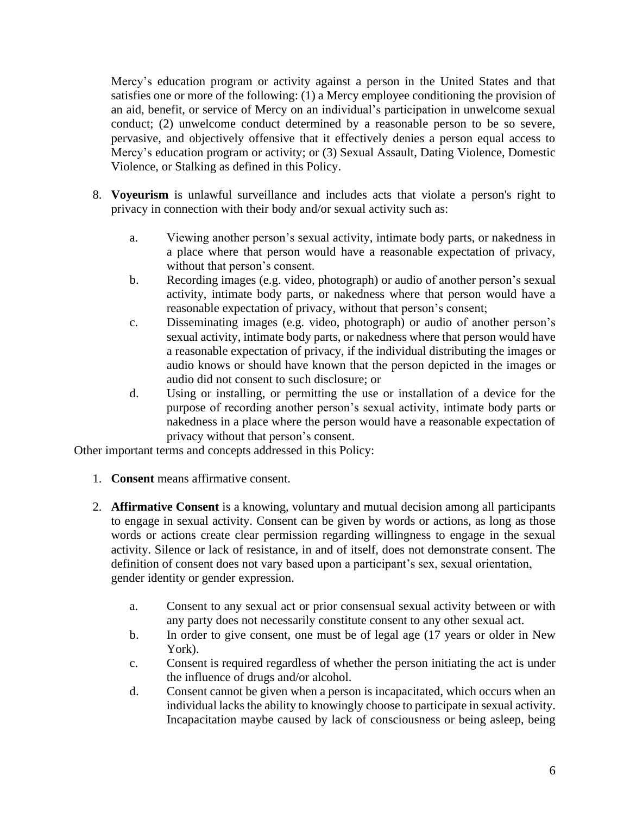Mercy's education program or activity against a person in the United States and that satisfies one or more of the following: (1) a Mercy employee conditioning the provision of an aid, benefit, or service of Mercy on an individual's participation in unwelcome sexual conduct; (2) unwelcome conduct determined by a reasonable person to be so severe, pervasive, and objectively offensive that it effectively denies a person equal access to Mercy's education program or activity; or (3) Sexual Assault, Dating Violence, Domestic Violence, or Stalking as defined in this Policy.

- 8. **Voyeurism** is unlawful surveillance and includes acts that violate a person's right to privacy in connection with their body and/or sexual activity such as:
	- a. Viewing another person's sexual activity, intimate body parts, or nakedness in a place where that person would have a reasonable expectation of privacy, without that person's consent.
	- b. Recording images (e.g. video, photograph) or audio of another person's sexual activity, intimate body parts, or nakedness where that person would have a reasonable expectation of privacy, without that person's consent;
	- c. Disseminating images (e.g. video, photograph) or audio of another person's sexual activity, intimate body parts, or nakedness where that person would have a reasonable expectation of privacy, if the individual distributing the images or audio knows or should have known that the person depicted in the images or audio did not consent to such disclosure; or
	- d. Using or installing, or permitting the use or installation of a device for the purpose of recording another person's sexual activity, intimate body parts or nakedness in a place where the person would have a reasonable expectation of privacy without that person's consent.

Other important terms and concepts addressed in this Policy:

- 1. **Consent** means affirmative consent.
- 2. **Affirmative Consent** is a knowing, voluntary and mutual decision among all participants to engage in sexual activity. Consent can be given by words or actions, as long as those words or actions create clear permission regarding willingness to engage in the sexual activity. Silence or lack of resistance, in and of itself, does not demonstrate consent. The definition of consent does not vary based upon a participant's sex, sexual orientation, gender identity or gender expression.
	- a. Consent to any sexual act or prior consensual sexual activity between or with any party does not necessarily constitute consent to any other sexual act.
	- b. In order to give consent, one must be of legal age (17 years or older in New York).
	- c. Consent is required regardless of whether the person initiating the act is under the influence of drugs and/or alcohol.
	- d. Consent cannot be given when a person is incapacitated, which occurs when an individual lacks the ability to knowingly choose to participate in sexual activity. Incapacitation maybe caused by lack of consciousness or being asleep, being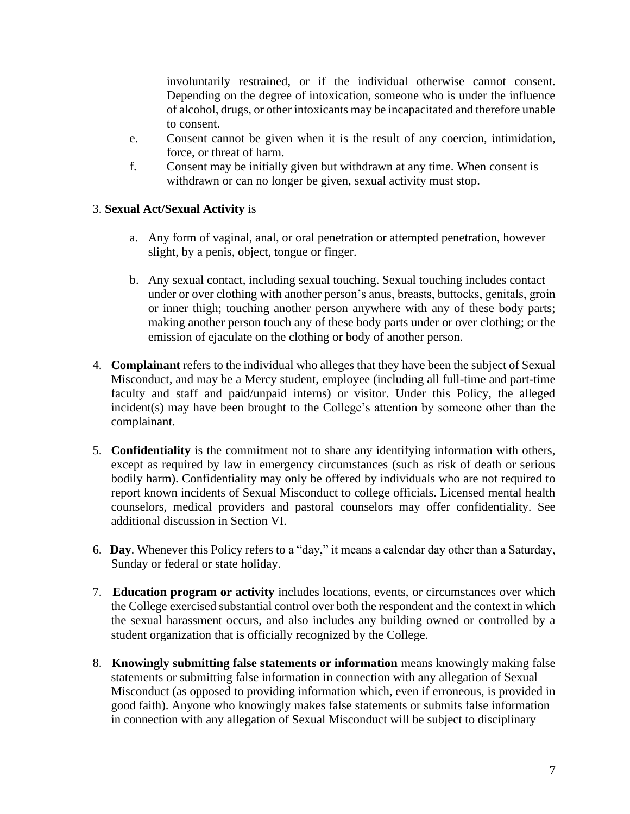involuntarily restrained, or if the individual otherwise cannot consent. Depending on the degree of intoxication, someone who is under the influence of alcohol, drugs, or other intoxicants may be incapacitated and therefore unable to consent.

- e. Consent cannot be given when it is the result of any coercion, intimidation, force, or threat of harm.
- f. Consent may be initially given but withdrawn at any time. When consent is withdrawn or can no longer be given, sexual activity must stop.

### 3. **Sexual Act/Sexual Activity** is

- a. Any form of vaginal, anal, or oral penetration or attempted penetration, however slight, by a penis, object, tongue or finger.
- b. Any sexual contact, including sexual touching. Sexual touching includes contact under or over clothing with another person's anus, breasts, buttocks, genitals, groin or inner thigh; touching another person anywhere with any of these body parts; making another person touch any of these body parts under or over clothing; or the emission of ejaculate on the clothing or body of another person.
- 4. **Complainant** refers to the individual who alleges that they have been the subject of Sexual Misconduct, and may be a Mercy student, employee (including all full-time and part-time faculty and staff and paid/unpaid interns) or visitor. Under this Policy, the alleged incident(s) may have been brought to the College's attention by someone other than the complainant.
- 5. **Confidentiality** is the commitment not to share any identifying information with others, except as required by law in emergency circumstances (such as risk of death or serious bodily harm). Confidentiality may only be offered by individuals who are not required to report known incidents of Sexual Misconduct to college officials. Licensed mental health counselors, medical providers and pastoral counselors may offer confidentiality. See additional discussion in Section VI.
- 6. **Day**. Whenever this Policy refers to a "day," it means a calendar day other than a Saturday, Sunday or federal or state holiday.
- 7. **Education program or activity** includes locations, events, or circumstances over which the College exercised substantial control over both the respondent and the context in which the sexual harassment occurs, and also includes any building owned or controlled by a student organization that is officially recognized by the College.
- 8. **Knowingly submitting false statements or information** means knowingly making false statements or submitting false information in connection with any allegation of Sexual Misconduct (as opposed to providing information which, even if erroneous, is provided in good faith). Anyone who knowingly makes false statements or submits false information in connection with any allegation of Sexual Misconduct will be subject to disciplinary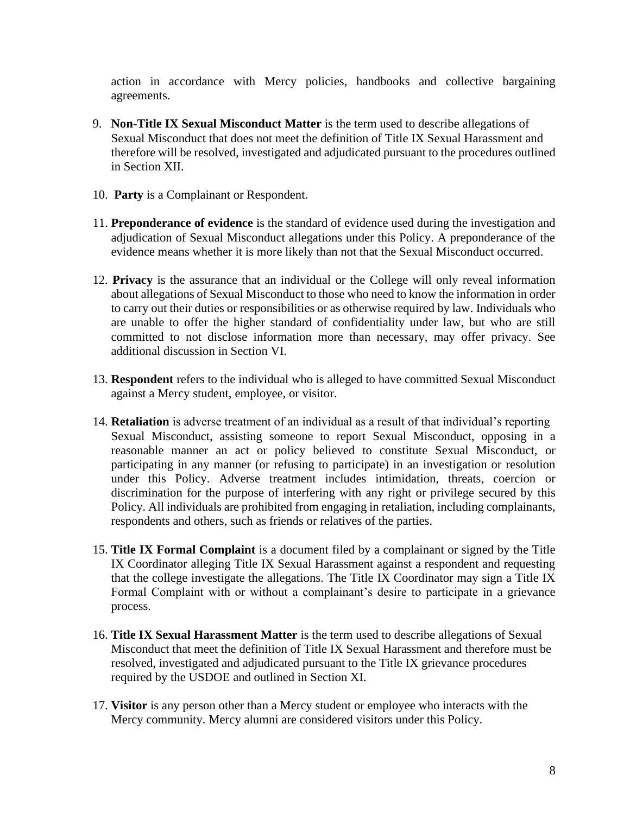action in accordance with Mercy policies, handbooks and collective bargaining agreements.

- 9. **Non-Title IX Sexual Misconduct Matter** is the term used to describe allegations of Sexual Misconduct that does not meet the definition of Title IX Sexual Harassment and therefore will be resolved, investigated and adjudicated pursuant to the procedures outlined in Section XII.
- 10. **Party** is a Complainant or Respondent.
- 11. **Preponderance of evidence** is the standard of evidence used during the investigation and adjudication of Sexual Misconduct allegations under this Policy. A preponderance of the evidence means whether it is more likely than not that the Sexual Misconduct occurred.
- 12. **Privacy** is the assurance that an individual or the College will only reveal information about allegations of Sexual Misconduct to those who need to know the information in order to carry out their duties or responsibilities or as otherwise required by law. Individuals who are unable to offer the higher standard of confidentiality under law, but who are still committed to not disclose information more than necessary, may offer privacy. See additional discussion in Section VI.
- 13. **Respondent** refers to the individual who is alleged to have committed Sexual Misconduct against a Mercy student, employee, or visitor.
- 14. **Retaliation** is adverse treatment of an individual as a result of that individual's reporting Sexual Misconduct, assisting someone to report Sexual Misconduct, opposing in a reasonable manner an act or policy believed to constitute Sexual Misconduct, or participating in any manner (or refusing to participate) in an investigation or resolution under this Policy. Adverse treatment includes intimidation, threats, coercion or discrimination for the purpose of interfering with any right or privilege secured by this Policy. All individuals are prohibited from engaging in retaliation, including complainants, respondents and others, such as friends or relatives of the parties.
- 15. **Title IX Formal Complaint** is a document filed by a complainant or signed by the Title IX Coordinator alleging Title IX Sexual Harassment against a respondent and requesting that the college investigate the allegations. The Title IX Coordinator may sign a Title IX Formal Complaint with or without a complainant's desire to participate in a grievance process.
- 16. **Title IX Sexual Harassment Matter** is the term used to describe allegations of Sexual Misconduct that meet the definition of Title IX Sexual Harassment and therefore must be resolved, investigated and adjudicated pursuant to the Title IX grievance procedures required by the USDOE and outlined in Section XI.
- 17. **Visitor** is any person other than a Mercy student or employee who interacts with the Mercy community. Mercy alumni are considered visitors under this Policy.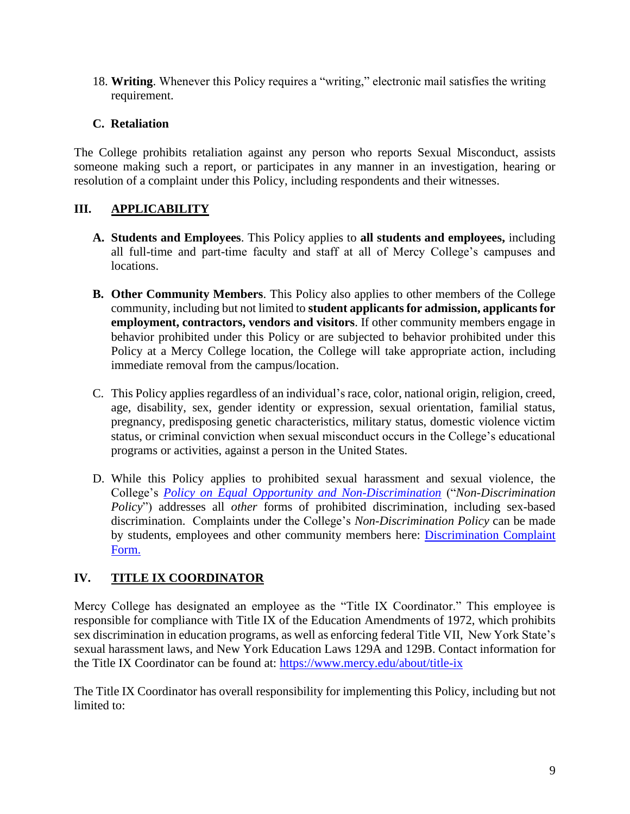18. **Writing**. Whenever this Policy requires a "writing," electronic mail satisfies the writing requirement.

## **C. Retaliation**

The College prohibits retaliation against any person who reports Sexual Misconduct, assists someone making such a report, or participates in any manner in an investigation, hearing or resolution of a complaint under this Policy, including respondents and their witnesses.

# **III. APPLICABILITY**

- **A. Students and Employees**. This Policy applies to **all students and employees,** including all full-time and part-time faculty and staff at all of Mercy College's campuses and locations.
- **B. Other Community Members**. This Policy also applies to other members of the College community, including but not limited to **student applicants for admission, applicants for employment, contractors, vendors and visitors**. If other community members engage in behavior prohibited under this Policy or are subjected to behavior prohibited under this Policy at a Mercy College location, the College will take appropriate action, including immediate removal from the campus/location.
- C. This Policy applies regardless of an individual's race, color, national origin, religion, creed, age, disability, sex, gender identity or expression, sexual orientation, familial status, pregnancy, predisposing genetic characteristics, military status, domestic violence victim status, or criminal conviction when sexual misconduct occurs in the College's educational programs or activities, against a person in the United States.
- D. While this Policy applies to prohibited sexual harassment and sexual violence, the College's *[Policy on Equal Opportunity and Non-Discrimination](https://www.mercy.edu/about-mercy/student-affairs/education/about-mercy/sites/www.mercy.edu.about-mercy/files/about-mercy/media/browser/NonDiscriminationPolicyRevised_0.pdf)* ("*Non-Discrimination Policy*") addresses all *other* forms of prohibited discrimination, including sex-based discrimination. Complaints under the College's *Non-Discrimination Policy* can be made by students, employees and other community members here: Discrimination Complaint [Form.](https://www.mercy.edu/discrimination-complaint-form)

# **IV. TITLE IX COORDINATOR**

Mercy College has designated an employee as the "Title IX Coordinator." This employee is responsible for compliance with Title IX of the Education Amendments of 1972, which prohibits sex discrimination in education programs, as well as enforcing federal Title VII, New York State's sexual harassment laws, and New York Education Laws 129A and 129B. Contact information for the Title IX Coordinator can be found at:<https://www.mercy.edu/about/title-ix>

The Title IX Coordinator has overall responsibility for implementing this Policy, including but not limited to: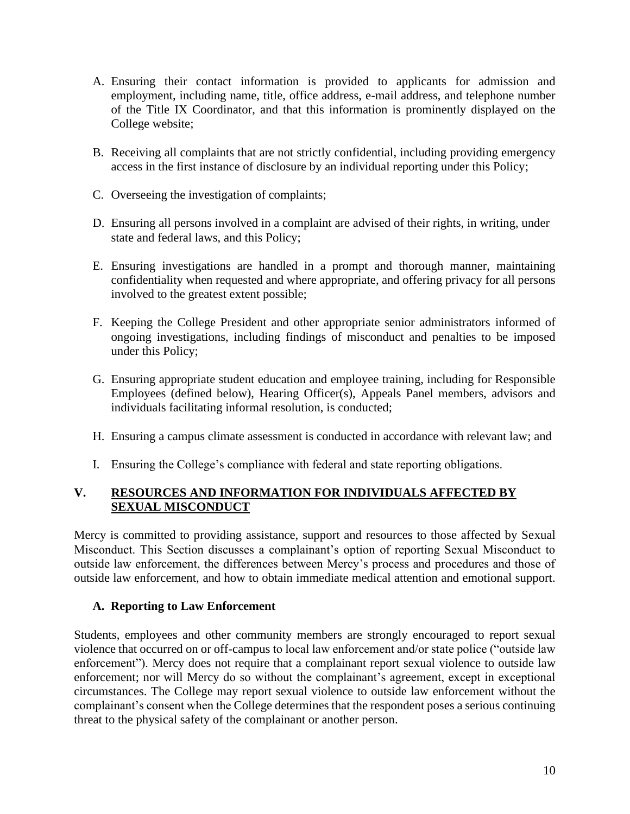- A. Ensuring their contact information is provided to applicants for admission and employment, including name, title, office address, e-mail address, and telephone number of the Title IX Coordinator, and that this information is prominently displayed on the College website;
- B. Receiving all complaints that are not strictly confidential, including providing emergency access in the first instance of disclosure by an individual reporting under this Policy;
- C. Overseeing the investigation of complaints;
- D. Ensuring all persons involved in a complaint are advised of their rights, in writing, under state and federal laws, and this Policy;
- E. Ensuring investigations are handled in a prompt and thorough manner, maintaining confidentiality when requested and where appropriate, and offering privacy for all persons involved to the greatest extent possible;
- F. Keeping the College President and other appropriate senior administrators informed of ongoing investigations, including findings of misconduct and penalties to be imposed under this Policy;
- G. Ensuring appropriate student education and employee training, including for Responsible Employees (defined below), Hearing Officer(s), Appeals Panel members, advisors and individuals facilitating informal resolution, is conducted;
- H. Ensuring a campus climate assessment is conducted in accordance with relevant law; and
- I. Ensuring the College's compliance with federal and state reporting obligations.

### **V. RESOURCES AND INFORMATION FOR INDIVIDUALS AFFECTED BY SEXUAL MISCONDUCT**

Mercy is committed to providing assistance, support and resources to those affected by Sexual Misconduct. This Section discusses a complainant's option of reporting Sexual Misconduct to outside law enforcement, the differences between Mercy's process and procedures and those of outside law enforcement, and how to obtain immediate medical attention and emotional support.

### **A. Reporting to Law Enforcement**

Students, employees and other community members are strongly encouraged to report sexual violence that occurred on or off-campus to local law enforcement and/or state police ("outside law enforcement"). Mercy does not require that a complainant report sexual violence to outside law enforcement; nor will Mercy do so without the complainant's agreement, except in exceptional circumstances. The College may report sexual violence to outside law enforcement without the complainant's consent when the College determines that the respondent poses a serious continuing threat to the physical safety of the complainant or another person.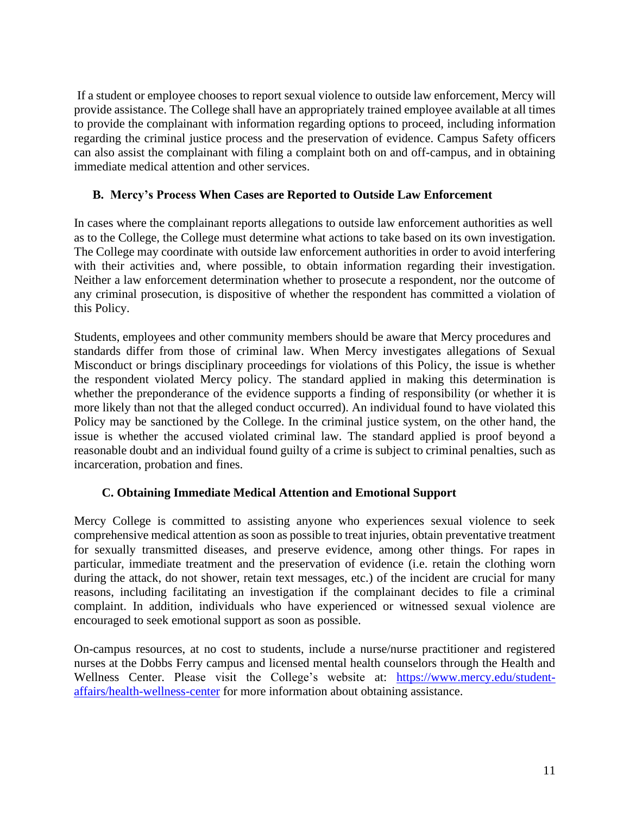If a student or employee chooses to report sexual violence to outside law enforcement, Mercy will provide assistance. The College shall have an appropriately trained employee available at all times to provide the complainant with information regarding options to proceed, including information regarding the criminal justice process and the preservation of evidence. Campus Safety officers can also assist the complainant with filing a complaint both on and off-campus, and in obtaining immediate medical attention and other services.

### **B. Mercy's Process When Cases are Reported to Outside Law Enforcement**

In cases where the complainant reports allegations to outside law enforcement authorities as well as to the College, the College must determine what actions to take based on its own investigation. The College may coordinate with outside law enforcement authorities in order to avoid interfering with their activities and, where possible, to obtain information regarding their investigation. Neither a law enforcement determination whether to prosecute a respondent, nor the outcome of any criminal prosecution, is dispositive of whether the respondent has committed a violation of this Policy.

Students, employees and other community members should be aware that Mercy procedures and standards differ from those of criminal law. When Mercy investigates allegations of Sexual Misconduct or brings disciplinary proceedings for violations of this Policy, the issue is whether the respondent violated Mercy policy. The standard applied in making this determination is whether the preponderance of the evidence supports a finding of responsibility (or whether it is more likely than not that the alleged conduct occurred). An individual found to have violated this Policy may be sanctioned by the College. In the criminal justice system, on the other hand, the issue is whether the accused violated criminal law. The standard applied is proof beyond a reasonable doubt and an individual found guilty of a crime is subject to criminal penalties, such as incarceration, probation and fines.

# **C. Obtaining Immediate Medical Attention and Emotional Support**

Mercy College is committed to assisting anyone who experiences sexual violence to seek comprehensive medical attention as soon as possible to treat injuries, obtain preventative treatment for sexually transmitted diseases, and preserve evidence, among other things. For rapes in particular, immediate treatment and the preservation of evidence (i.e. retain the clothing worn during the attack, do not shower, retain text messages, etc.) of the incident are crucial for many reasons, including facilitating an investigation if the complainant decides to file a criminal complaint. In addition, individuals who have experienced or witnessed sexual violence are encouraged to seek emotional support as soon as possible.

On-campus resources, at no cost to students, include a nurse/nurse practitioner and registered nurses at the Dobbs Ferry campus and licensed mental health counselors through the Health and Wellness Center. Please visit the College's website at: [https://www.mercy.edu/student](https://www.mercy.edu/student-affairs/health-wellness-center)[affairs/health-wellness-center](https://www.mercy.edu/student-affairs/health-wellness-center) for more information about obtaining assistance.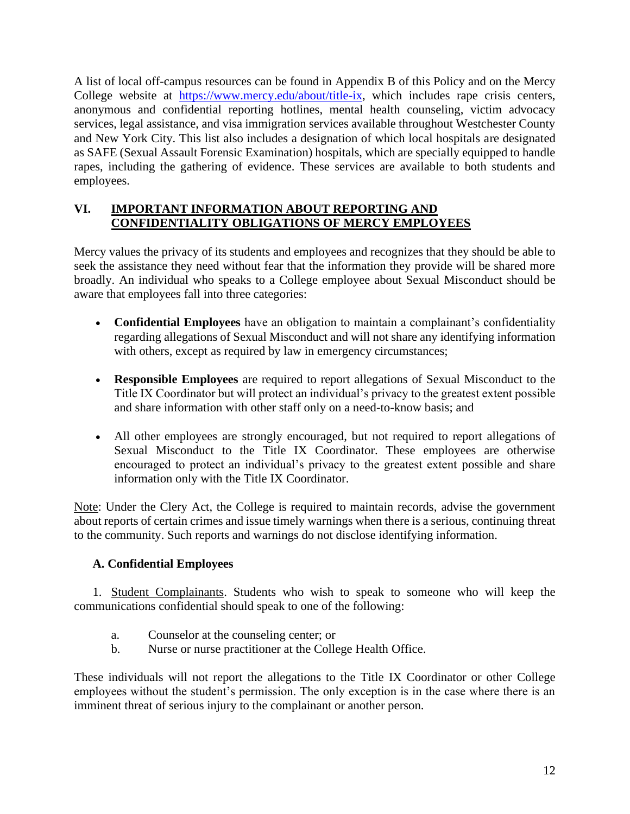A list of local off-campus resources can be found in Appendix B of this Policy and on the Mercy College website at [https://www.mercy.edu/about/title-ix,](https://www.mercy.edu/about/title-ix) which includes rape crisis centers, anonymous and confidential reporting hotlines, mental health counseling, victim advocacy services, legal assistance, and visa immigration services available throughout Westchester County and New York City. This list also includes a designation of which local hospitals are designated as SAFE (Sexual Assault Forensic Examination) hospitals, which are specially equipped to handle rapes, including the gathering of evidence. These services are available to both students and employees.

### **VI. IMPORTANT INFORMATION ABOUT REPORTING AND CONFIDENTIALITY OBLIGATIONS OF MERCY EMPLOYEES**

Mercy values the privacy of its students and employees and recognizes that they should be able to seek the assistance they need without fear that the information they provide will be shared more broadly. An individual who speaks to a College employee about Sexual Misconduct should be aware that employees fall into three categories:

- **Confidential Employees** have an obligation to maintain a complainant's confidentiality regarding allegations of Sexual Misconduct and will not share any identifying information with others, except as required by law in emergency circumstances;
- **Responsible Employees** are required to report allegations of Sexual Misconduct to the Title IX Coordinator but will protect an individual's privacy to the greatest extent possible and share information with other staff only on a need-to-know basis; and
- All other employees are strongly encouraged, but not required to report allegations of Sexual Misconduct to the Title IX Coordinator. These employees are otherwise encouraged to protect an individual's privacy to the greatest extent possible and share information only with the Title IX Coordinator.

Note: Under the Clery Act, the College is required to maintain records, advise the government about reports of certain crimes and issue timely warnings when there is a serious, continuing threat to the community. Such reports and warnings do not disclose identifying information.

# **A. Confidential Employees**

1. Student Complainants. Students who wish to speak to someone who will keep the communications confidential should speak to one of the following:

- a. Counselor at the counseling center; or
- b. Nurse or nurse practitioner at the College Health Office.

These individuals will not report the allegations to the Title IX Coordinator or other College employees without the student's permission. The only exception is in the case where there is an imminent threat of serious injury to the complainant or another person.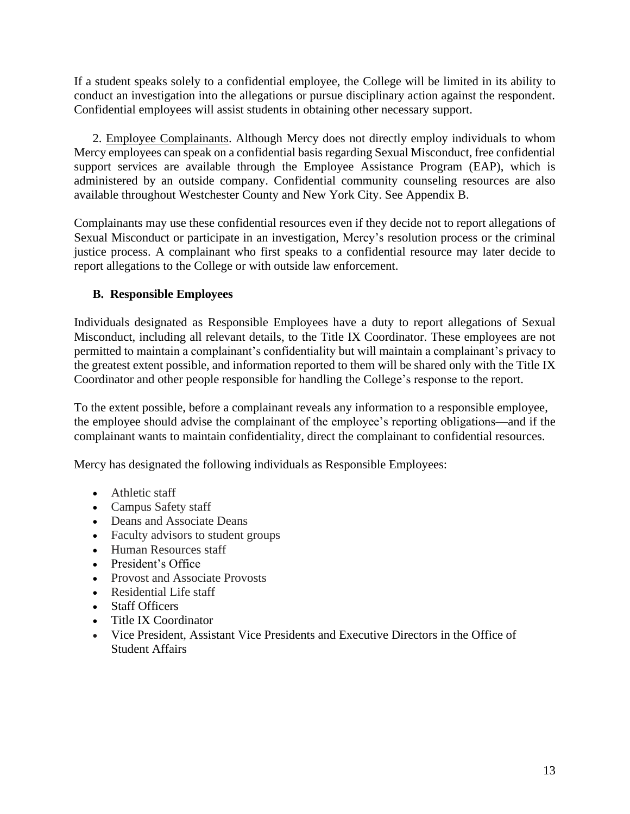If a student speaks solely to a confidential employee, the College will be limited in its ability to conduct an investigation into the allegations or pursue disciplinary action against the respondent. Confidential employees will assist students in obtaining other necessary support.

2. Employee Complainants. Although Mercy does not directly employ individuals to whom Mercy employees can speak on a confidential basis regarding Sexual Misconduct, free confidential support services are available through the Employee Assistance Program (EAP), which is administered by an outside company. Confidential community counseling resources are also available throughout Westchester County and New York City. See Appendix B.

Complainants may use these confidential resources even if they decide not to report allegations of Sexual Misconduct or participate in an investigation, Mercy's resolution process or the criminal justice process. A complainant who first speaks to a confidential resource may later decide to report allegations to the College or with outside law enforcement.

### **B. Responsible Employees**

Individuals designated as Responsible Employees have a duty to report allegations of Sexual Misconduct, including all relevant details, to the Title IX Coordinator. These employees are not permitted to maintain a complainant's confidentiality but will maintain a complainant's privacy to the greatest extent possible, and information reported to them will be shared only with the Title IX Coordinator and other people responsible for handling the College's response to the report.

To the extent possible, before a complainant reveals any information to a responsible employee, the employee should advise the complainant of the employee's reporting obligations—and if the complainant wants to maintain confidentiality, direct the complainant to confidential resources.

Mercy has designated the following individuals as Responsible Employees:

- Athletic staff
- Campus Safety staff
- Deans and Associate Deans
- Faculty advisors to student groups
- Human Resources staff
- President's Office
- Provost and Associate Provosts
- Residential Life staff
- Staff Officers
- Title IX Coordinator
- Vice President, Assistant Vice Presidents and Executive Directors in the Office of Student Affairs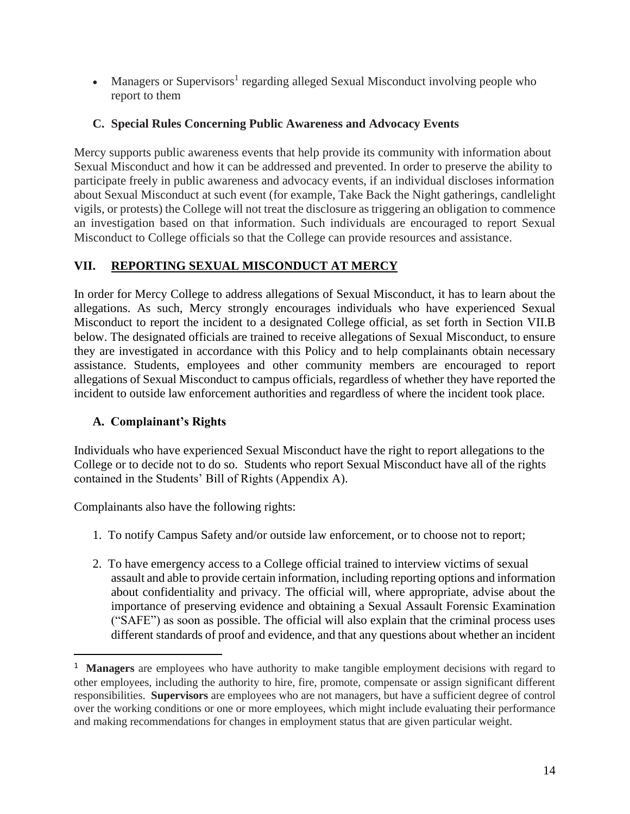• Managers or Supervisors<sup>1</sup> regarding alleged Sexual Misconduct involving people who report to them

# **C. Special Rules Concerning Public Awareness and Advocacy Events**

Mercy supports public awareness events that help provide its community with information about Sexual Misconduct and how it can be addressed and prevented. In order to preserve the ability to participate freely in public awareness and advocacy events, if an individual discloses information about Sexual Misconduct at such event (for example, Take Back the Night gatherings, candlelight vigils, or protests) the College will not treat the disclosure as triggering an obligation to commence an investigation based on that information. Such individuals are encouraged to report Sexual Misconduct to College officials so that the College can provide resources and assistance.

# **VII. REPORTING SEXUAL MISCONDUCT AT MERCY**

In order for Mercy College to address allegations of Sexual Misconduct, it has to learn about the allegations. As such, Mercy strongly encourages individuals who have experienced Sexual Misconduct to report the incident to a designated College official, as set forth in Section VII.B below. The designated officials are trained to receive allegations of Sexual Misconduct, to ensure they are investigated in accordance with this Policy and to help complainants obtain necessary assistance. Students, employees and other community members are encouraged to report allegations of Sexual Misconduct to campus officials, regardless of whether they have reported the incident to outside law enforcement authorities and regardless of where the incident took place.

# **A. Complainant's Rights**

Individuals who have experienced Sexual Misconduct have the right to report allegations to the College or to decide not to do so. Students who report Sexual Misconduct have all of the rights contained in the Students' Bill of Rights (Appendix A).

Complainants also have the following rights:

- 1. To notify Campus Safety and/or outside law enforcement, or to choose not to report;
- 2. To have emergency access to a College official trained to interview victims of sexual assault and able to provide certain information, including reporting options and information about confidentiality and privacy. The official will, where appropriate, advise about the importance of preserving evidence and obtaining a Sexual Assault Forensic Examination ("SAFE") as soon as possible. The official will also explain that the criminal process uses different standards of proof and evidence, and that any questions about whether an incident

<sup>&</sup>lt;sup>1</sup> Managers are employees who have authority to make tangible employment decisions with regard to other employees, including the authority to hire, fire, promote, compensate or assign significant different responsibilities. **Supervisors** are employees who are not managers, but have a sufficient degree of control over the working conditions or one or more employees, which might include evaluating their performance and making recommendations for changes in employment status that are given particular weight.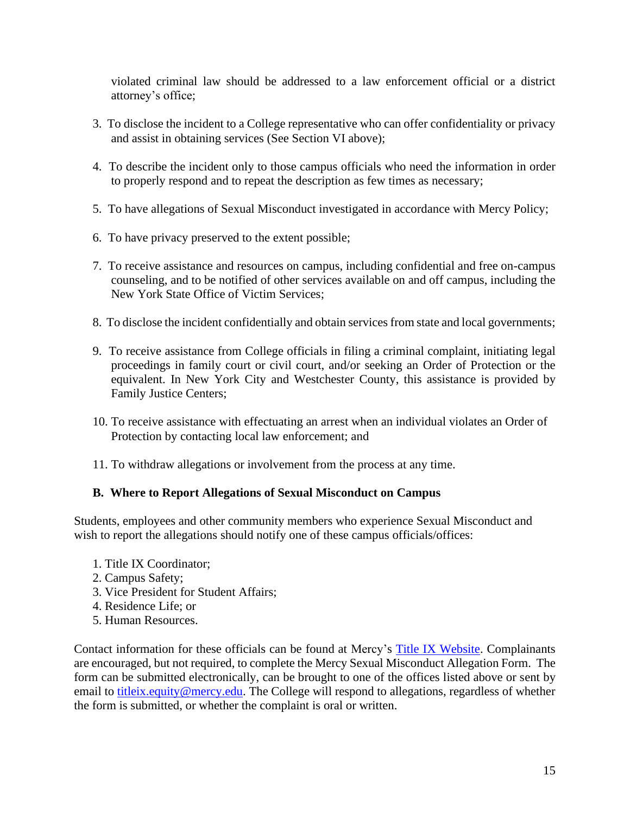violated criminal law should be addressed to a law enforcement official or a district attorney's office;

- 3. To disclose the incident to a College representative who can offer confidentiality or privacy and assist in obtaining services (See Section VI above);
- 4. To describe the incident only to those campus officials who need the information in order to properly respond and to repeat the description as few times as necessary;
- 5. To have allegations of Sexual Misconduct investigated in accordance with Mercy Policy;
- 6. To have privacy preserved to the extent possible;
- 7. To receive assistance and resources on campus, including confidential and free on-campus counseling, and to be notified of other services available on and off campus, including the New York State Office of Victim Services;
- 8. To disclose the incident confidentially and obtain services from state and local governments;
- 9. To receive assistance from College officials in filing a criminal complaint, initiating legal proceedings in family court or civil court, and/or seeking an Order of Protection or the equivalent. In New York City and Westchester County, this assistance is provided by Family Justice Centers;
- 10. To receive assistance with effectuating an arrest when an individual violates an Order of Protection by contacting local law enforcement; and
- 11. To withdraw allegations or involvement from the process at any time.

### **B. Where to Report Allegations of Sexual Misconduct on Campus**

Students, employees and other community members who experience Sexual Misconduct and wish to report the allegations should notify one of these campus officials/offices:

- 1. Title IX Coordinator;
- 2. Campus Safety;
- 3. Vice President for Student Affairs;
- 4. Residence Life; or
- 5. Human Resources.

Contact information for these officials can be found at Mercy's [Title IX Website.](https://www.mercy.edu/about/title-ix) Complainants are encouraged, but not required, to complete the Mercy Sexual Misconduct Allegation Form. The form can be submitted electronically, can be brought to one of the offices listed above or sent by email to [titleix.equity@mercy.edu.](mailto:titleix.equity@mercy.edu) The College will respond to allegations, regardless of whether the form is submitted, or whether the complaint is oral or written.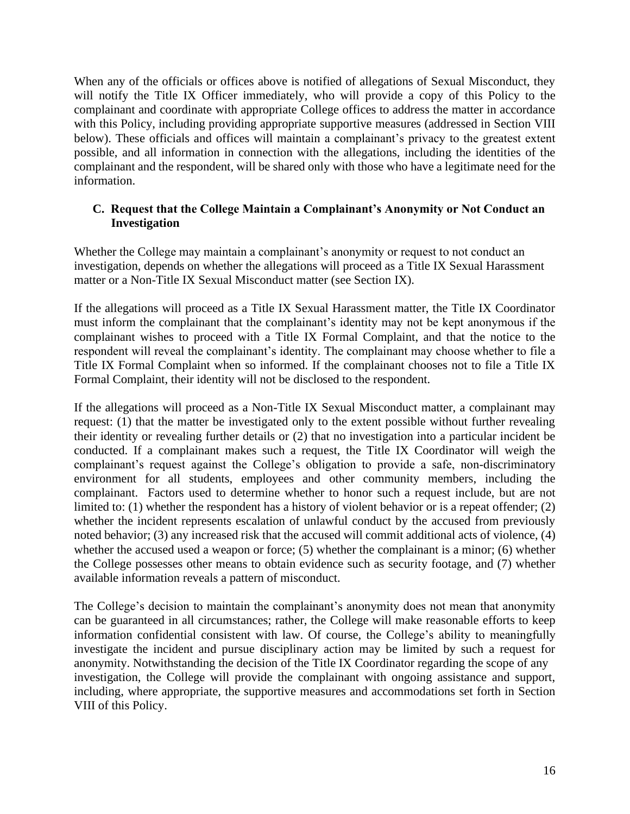When any of the officials or offices above is notified of allegations of Sexual Misconduct, they will notify the Title IX Officer immediately, who will provide a copy of this Policy to the complainant and coordinate with appropriate College offices to address the matter in accordance with this Policy, including providing appropriate supportive measures (addressed in Section VIII below). These officials and offices will maintain a complainant's privacy to the greatest extent possible, and all information in connection with the allegations, including the identities of the complainant and the respondent, will be shared only with those who have a legitimate need for the information.

#### **C. Request that the College Maintain a Complainant's Anonymity or Not Conduct an Investigation**

Whether the College may maintain a complainant's anonymity or request to not conduct an investigation, depends on whether the allegations will proceed as a Title IX Sexual Harassment matter or a Non-Title IX Sexual Misconduct matter (see Section IX).

If the allegations will proceed as a Title IX Sexual Harassment matter, the Title IX Coordinator must inform the complainant that the complainant's identity may not be kept anonymous if the complainant wishes to proceed with a Title IX Formal Complaint, and that the notice to the respondent will reveal the complainant's identity. The complainant may choose whether to file a Title IX Formal Complaint when so informed. If the complainant chooses not to file a Title IX Formal Complaint, their identity will not be disclosed to the respondent.

If the allegations will proceed as a Non-Title IX Sexual Misconduct matter, a complainant may request: (1) that the matter be investigated only to the extent possible without further revealing their identity or revealing further details or (2) that no investigation into a particular incident be conducted. If a complainant makes such a request, the Title IX Coordinator will weigh the complainant's request against the College's obligation to provide a safe, non-discriminatory environment for all students, employees and other community members, including the complainant. Factors used to determine whether to honor such a request include, but are not limited to: (1) whether the respondent has a history of violent behavior or is a repeat offender; (2) whether the incident represents escalation of unlawful conduct by the accused from previously noted behavior; (3) any increased risk that the accused will commit additional acts of violence, (4) whether the accused used a weapon or force; (5) whether the complainant is a minor; (6) whether the College possesses other means to obtain evidence such as security footage, and (7) whether available information reveals a pattern of misconduct.

The College's decision to maintain the complainant's anonymity does not mean that anonymity can be guaranteed in all circumstances; rather, the College will make reasonable efforts to keep information confidential consistent with law. Of course, the College's ability to meaningfully investigate the incident and pursue disciplinary action may be limited by such a request for anonymity. Notwithstanding the decision of the Title IX Coordinator regarding the scope of any investigation, the College will provide the complainant with ongoing assistance and support, including, where appropriate, the supportive measures and accommodations set forth in Section VIII of this Policy.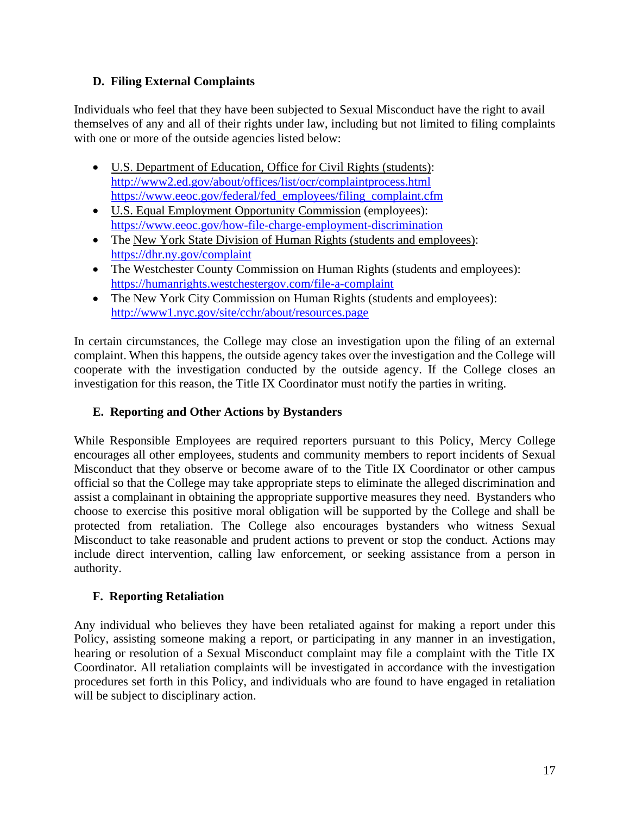### **D. Filing External Complaints**

Individuals who feel that they have been subjected to Sexual Misconduct have the right to avail themselves of any and all of their rights under law, including but not limited to filing complaints with one or more of the outside agencies listed below:

- U.S. Department of Education, Office for Civil Rights (students): <http://www2.ed.gov/about/offices/list/ocr/complaintprocess.html> [https://www.eeoc.gov/federal/fed\\_employees/filing\\_complaint.cfm](https://www.eeoc.gov/federal/fed_employees/filing_complaint.cfm)
- U.S. Equal Employment Opportunity Commission (employees): <https://www.eeoc.gov/how-file-charge-employment-discrimination>
- The New York State Division of Human Rights (students and employees): <https://dhr.ny.gov/complaint>
- The Westchester County Commission on Human Rights (students and employees): <https://humanrights.westchestergov.com/file-a-complaint>
- The New York City Commission on Human Rights (students and employees): <http://www1.nyc.gov/site/cchr/about/resources.page>

In certain circumstances, the College may close an investigation upon the filing of an external complaint. When this happens, the outside agency takes over the investigation and the College will cooperate with the investigation conducted by the outside agency. If the College closes an investigation for this reason, the Title IX Coordinator must notify the parties in writing.

# **E. Reporting and Other Actions by Bystanders**

While Responsible Employees are required reporters pursuant to this Policy, Mercy College encourages all other employees, students and community members to report incidents of Sexual Misconduct that they observe or become aware of to the Title IX Coordinator or other campus official so that the College may take appropriate steps to eliminate the alleged discrimination and assist a complainant in obtaining the appropriate supportive measures they need. Bystanders who choose to exercise this positive moral obligation will be supported by the College and shall be protected from retaliation. The College also encourages bystanders who witness Sexual Misconduct to take reasonable and prudent actions to prevent or stop the conduct. Actions may include direct intervention, calling law enforcement, or seeking assistance from a person in authority.

# **F. Reporting Retaliation**

Any individual who believes they have been retaliated against for making a report under this Policy, assisting someone making a report, or participating in any manner in an investigation, hearing or resolution of a Sexual Misconduct complaint may file a complaint with the Title IX Coordinator. All retaliation complaints will be investigated in accordance with the investigation procedures set forth in this Policy, and individuals who are found to have engaged in retaliation will be subject to disciplinary action.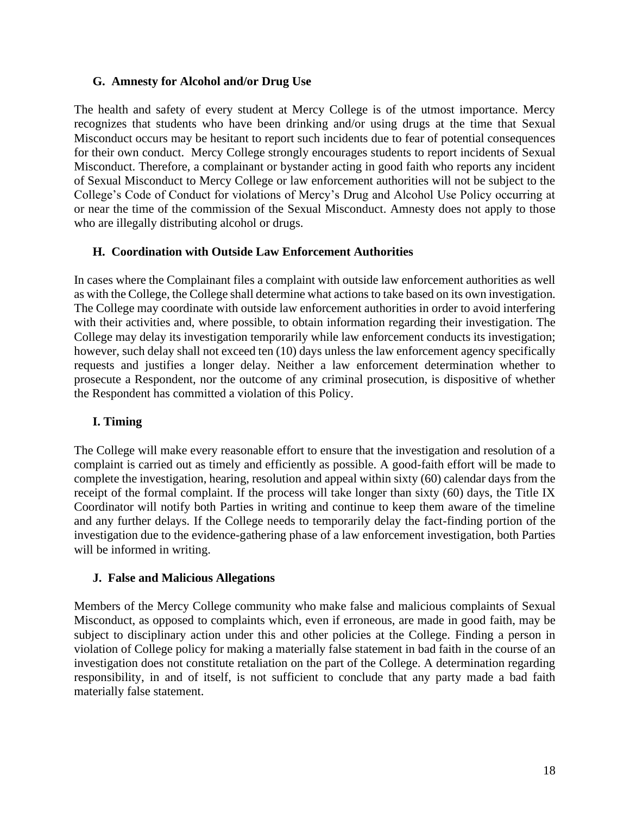#### **G. Amnesty for Alcohol and/or Drug Use**

The health and safety of every student at Mercy College is of the utmost importance. Mercy recognizes that students who have been drinking and/or using drugs at the time that Sexual Misconduct occurs may be hesitant to report such incidents due to fear of potential consequences for their own conduct. Mercy College strongly encourages students to report incidents of Sexual Misconduct. Therefore, a complainant or bystander acting in good faith who reports any incident of Sexual Misconduct to Mercy College or law enforcement authorities will not be subject to the College's Code of Conduct for violations of Mercy's Drug and Alcohol Use Policy occurring at or near the time of the commission of the Sexual Misconduct. Amnesty does not apply to those who are illegally distributing alcohol or drugs.

### **H. Coordination with Outside Law Enforcement Authorities**

In cases where the Complainant files a complaint with outside law enforcement authorities as well as with the College, the College shall determine what actions to take based on its own investigation. The College may coordinate with outside law enforcement authorities in order to avoid interfering with their activities and, where possible, to obtain information regarding their investigation. The College may delay its investigation temporarily while law enforcement conducts its investigation; however, such delay shall not exceed ten (10) days unless the law enforcement agency specifically requests and justifies a longer delay. Neither a law enforcement determination whether to prosecute a Respondent, nor the outcome of any criminal prosecution, is dispositive of whether the Respondent has committed a violation of this Policy.

### **I. Timing**

The College will make every reasonable effort to ensure that the investigation and resolution of a complaint is carried out as timely and efficiently as possible. A good-faith effort will be made to complete the investigation, hearing, resolution and appeal within sixty (60) calendar days from the receipt of the formal complaint. If the process will take longer than sixty (60) days, the Title IX Coordinator will notify both Parties in writing and continue to keep them aware of the timeline and any further delays. If the College needs to temporarily delay the fact-finding portion of the investigation due to the evidence-gathering phase of a law enforcement investigation, both Parties will be informed in writing.

### **J. False and Malicious Allegations**

Members of the Mercy College community who make false and malicious complaints of Sexual Misconduct, as opposed to complaints which, even if erroneous, are made in good faith, may be subject to disciplinary action under this and other policies at the College. Finding a person in violation of College policy for making a materially false statement in bad faith in the course of an investigation does not constitute retaliation on the part of the College. A determination regarding responsibility, in and of itself, is not sufficient to conclude that any party made a bad faith materially false statement.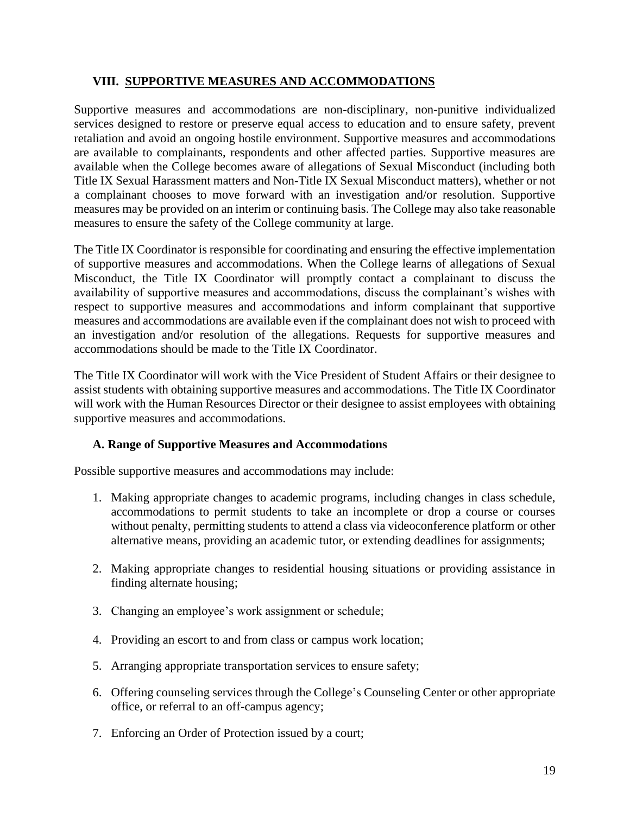### **VIII. SUPPORTIVE MEASURES AND ACCOMMODATIONS**

Supportive measures and accommodations are non-disciplinary, non-punitive individualized services designed to restore or preserve equal access to education and to ensure safety, prevent retaliation and avoid an ongoing hostile environment. Supportive measures and accommodations are available to complainants, respondents and other affected parties. Supportive measures are available when the College becomes aware of allegations of Sexual Misconduct (including both Title IX Sexual Harassment matters and Non-Title IX Sexual Misconduct matters), whether or not a complainant chooses to move forward with an investigation and/or resolution. Supportive measures may be provided on an interim or continuing basis. The College may also take reasonable measures to ensure the safety of the College community at large.

The Title IX Coordinator is responsible for coordinating and ensuring the effective implementation of supportive measures and accommodations. When the College learns of allegations of Sexual Misconduct, the Title IX Coordinator will promptly contact a complainant to discuss the availability of supportive measures and accommodations, discuss the complainant's wishes with respect to supportive measures and accommodations and inform complainant that supportive measures and accommodations are available even if the complainant does not wish to proceed with an investigation and/or resolution of the allegations. Requests for supportive measures and accommodations should be made to the Title IX Coordinator.

The Title IX Coordinator will work with the Vice President of Student Affairs or their designee to assist students with obtaining supportive measures and accommodations. The Title IX Coordinator will work with the Human Resources Director or their designee to assist employees with obtaining supportive measures and accommodations.

### **A. Range of Supportive Measures and Accommodations**

Possible supportive measures and accommodations may include:

- 1. Making appropriate changes to academic programs, including changes in class schedule, accommodations to permit students to take an incomplete or drop a course or courses without penalty, permitting students to attend a class via videoconference platform or other alternative means, providing an academic tutor, or extending deadlines for assignments;
- 2. Making appropriate changes to residential housing situations or providing assistance in finding alternate housing;
- 3. Changing an employee's work assignment or schedule;
- 4. Providing an escort to and from class or campus work location;
- 5. Arranging appropriate transportation services to ensure safety;
- 6. Offering counseling services through the College's Counseling Center or other appropriate office, or referral to an off-campus agency;
- 7. Enforcing an Order of Protection issued by a court;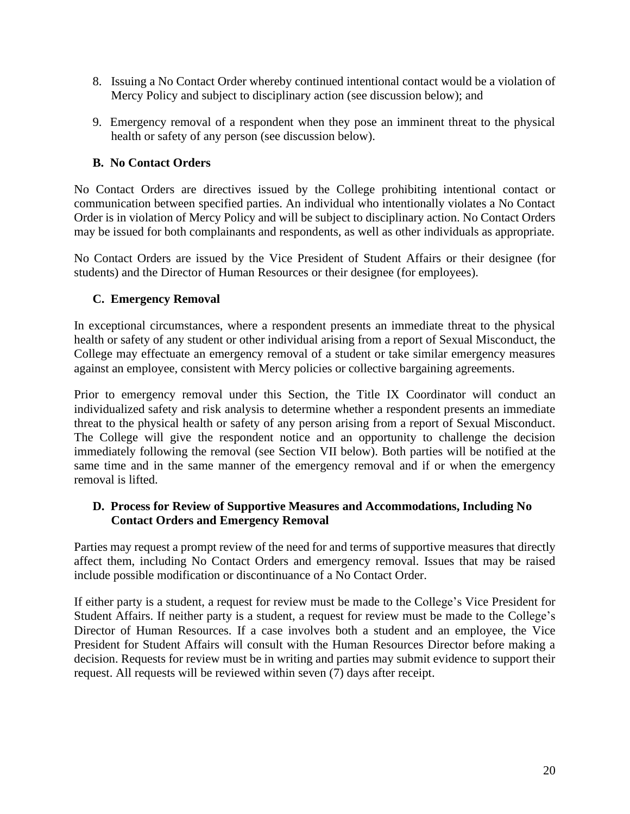- 8. Issuing a No Contact Order whereby continued intentional contact would be a violation of Mercy Policy and subject to disciplinary action (see discussion below); and
- 9. Emergency removal of a respondent when they pose an imminent threat to the physical health or safety of any person (see discussion below).

### **B. No Contact Orders**

No Contact Orders are directives issued by the College prohibiting intentional contact or communication between specified parties. An individual who intentionally violates a No Contact Order is in violation of Mercy Policy and will be subject to disciplinary action. No Contact Orders may be issued for both complainants and respondents, as well as other individuals as appropriate.

No Contact Orders are issued by the Vice President of Student Affairs or their designee (for students) and the Director of Human Resources or their designee (for employees).

### **C. Emergency Removal**

In exceptional circumstances, where a respondent presents an immediate threat to the physical health or safety of any student or other individual arising from a report of Sexual Misconduct, the College may effectuate an emergency removal of a student or take similar emergency measures against an employee, consistent with Mercy policies or collective bargaining agreements.

Prior to emergency removal under this Section, the Title IX Coordinator will conduct an individualized safety and risk analysis to determine whether a respondent presents an immediate threat to the physical health or safety of any person arising from a report of Sexual Misconduct. The College will give the respondent notice and an opportunity to challenge the decision immediately following the removal (see Section VII below). Both parties will be notified at the same time and in the same manner of the emergency removal and if or when the emergency removal is lifted.

### **D. Process for Review of Supportive Measures and Accommodations, Including No Contact Orders and Emergency Removal**

Parties may request a prompt review of the need for and terms of supportive measures that directly affect them, including No Contact Orders and emergency removal. Issues that may be raised include possible modification or discontinuance of a No Contact Order.

If either party is a student, a request for review must be made to the College's Vice President for Student Affairs. If neither party is a student, a request for review must be made to the College's Director of Human Resources. If a case involves both a student and an employee, the Vice President for Student Affairs will consult with the Human Resources Director before making a decision. Requests for review must be in writing and parties may submit evidence to support their request. All requests will be reviewed within seven (7) days after receipt.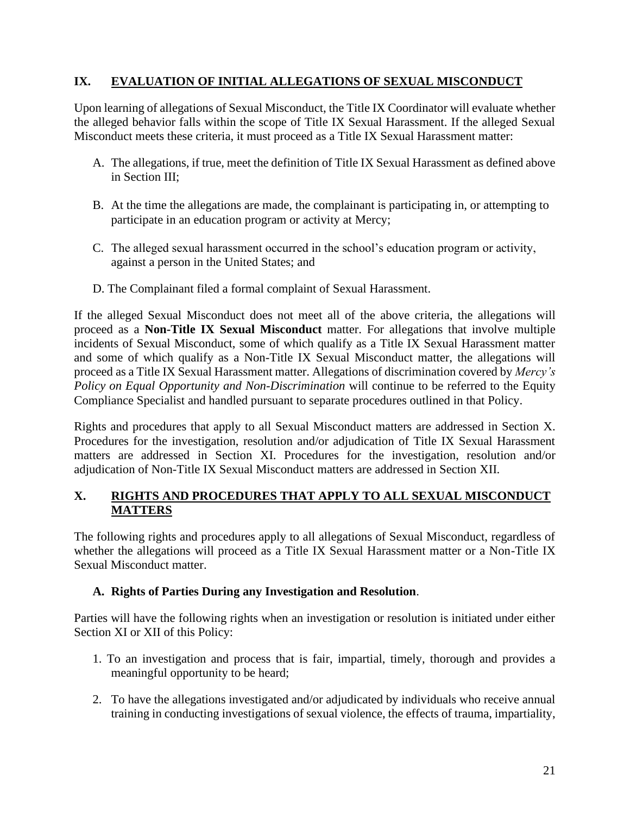### **IX. EVALUATION OF INITIAL ALLEGATIONS OF SEXUAL MISCONDUCT**

Upon learning of allegations of Sexual Misconduct, the Title IX Coordinator will evaluate whether the alleged behavior falls within the scope of Title IX Sexual Harassment. If the alleged Sexual Misconduct meets these criteria, it must proceed as a Title IX Sexual Harassment matter:

- A. The allegations, if true, meet the definition of Title IX Sexual Harassment as defined above in Section III;
- B. At the time the allegations are made, the complainant is participating in, or attempting to participate in an education program or activity at Mercy;
- C. The alleged sexual harassment occurred in the school's education program or activity, against a person in the United States; and
- D. The Complainant filed a formal complaint of Sexual Harassment.

If the alleged Sexual Misconduct does not meet all of the above criteria, the allegations will proceed as a **Non-Title IX Sexual Misconduct** matter. For allegations that involve multiple incidents of Sexual Misconduct, some of which qualify as a Title IX Sexual Harassment matter and some of which qualify as a Non-Title IX Sexual Misconduct matter, the allegations will proceed as a Title IX Sexual Harassment matter. Allegations of discrimination covered by *Mercy's Policy on Equal Opportunity and Non-Discrimination* will continue to be referred to the Equity Compliance Specialist and handled pursuant to separate procedures outlined in that Policy.

Rights and procedures that apply to all Sexual Misconduct matters are addressed in Section X. Procedures for the investigation, resolution and/or adjudication of Title IX Sexual Harassment matters are addressed in Section XI. Procedures for the investigation, resolution and/or adjudication of Non-Title IX Sexual Misconduct matters are addressed in Section XII.

### **X. RIGHTS AND PROCEDURES THAT APPLY TO ALL SEXUAL MISCONDUCT MATTERS**

The following rights and procedures apply to all allegations of Sexual Misconduct, regardless of whether the allegations will proceed as a Title IX Sexual Harassment matter or a Non-Title IX Sexual Misconduct matter.

### **A. Rights of Parties During any Investigation and Resolution**.

Parties will have the following rights when an investigation or resolution is initiated under either Section XI or XII of this Policy:

- 1. To an investigation and process that is fair, impartial, timely, thorough and provides a meaningful opportunity to be heard;
- 2. To have the allegations investigated and/or adjudicated by individuals who receive annual training in conducting investigations of sexual violence, the effects of trauma, impartiality,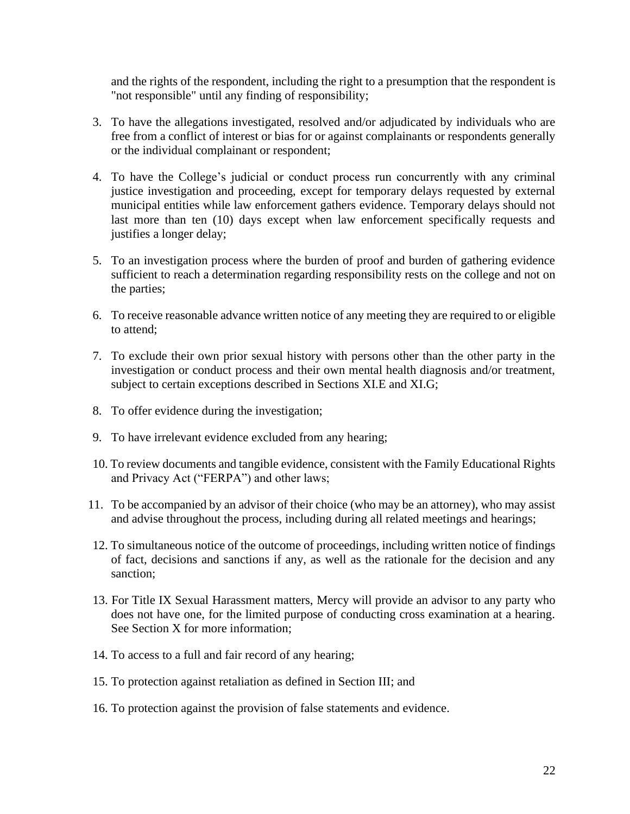and the rights of the respondent, including the right to a presumption that the respondent is "not responsible" until any finding of responsibility;

- 3. To have the allegations investigated, resolved and/or adjudicated by individuals who are free from a conflict of interest or bias for or against complainants or respondents generally or the individual complainant or respondent;
- 4. To have the College's judicial or conduct process run concurrently with any criminal justice investigation and proceeding, except for temporary delays requested by external municipal entities while law enforcement gathers evidence. Temporary delays should not last more than ten (10) days except when law enforcement specifically requests and justifies a longer delay;
- 5. To an investigation process where the burden of proof and burden of gathering evidence sufficient to reach a determination regarding responsibility rests on the college and not on the parties;
- 6. To receive reasonable advance written notice of any meeting they are required to or eligible to attend;
- 7. To exclude their own prior sexual history with persons other than the other party in the investigation or conduct process and their own mental health diagnosis and/or treatment, subject to certain exceptions described in Sections XI.E and XI.G;
- 8. To offer evidence during the investigation;
- 9. To have irrelevant evidence excluded from any hearing;
- 10. To review documents and tangible evidence, consistent with the Family Educational Rights and Privacy Act ("FERPA") and other laws;
- 11. To be accompanied by an advisor of their choice (who may be an attorney), who may assist and advise throughout the process, including during all related meetings and hearings;
- 12. To simultaneous notice of the outcome of proceedings, including written notice of findings of fact, decisions and sanctions if any, as well as the rationale for the decision and any sanction;
- 13. For Title IX Sexual Harassment matters, Mercy will provide an advisor to any party who does not have one, for the limited purpose of conducting cross examination at a hearing. See Section X for more information;
- 14. To access to a full and fair record of any hearing;
- 15. To protection against retaliation as defined in Section III; and
- 16. To protection against the provision of false statements and evidence.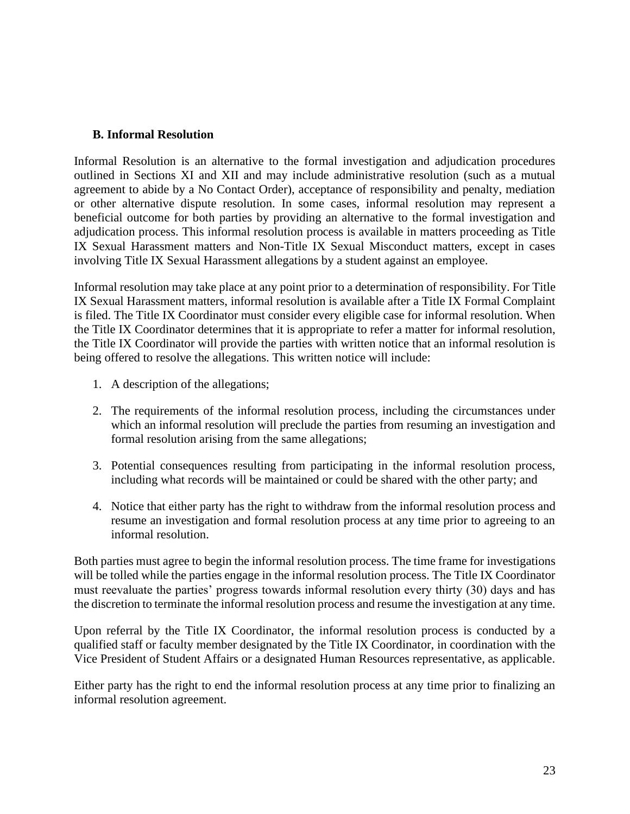#### **B. Informal Resolution**

Informal Resolution is an alternative to the formal investigation and adjudication procedures outlined in Sections XI and XII and may include administrative resolution (such as a mutual agreement to abide by a No Contact Order), acceptance of responsibility and penalty, mediation or other alternative dispute resolution. In some cases, informal resolution may represent a beneficial outcome for both parties by providing an alternative to the formal investigation and adjudication process. This informal resolution process is available in matters proceeding as Title IX Sexual Harassment matters and Non-Title IX Sexual Misconduct matters, except in cases involving Title IX Sexual Harassment allegations by a student against an employee.

Informal resolution may take place at any point prior to a determination of responsibility. For Title IX Sexual Harassment matters, informal resolution is available after a Title IX Formal Complaint is filed. The Title IX Coordinator must consider every eligible case for informal resolution. When the Title IX Coordinator determines that it is appropriate to refer a matter for informal resolution, the Title IX Coordinator will provide the parties with written notice that an informal resolution is being offered to resolve the allegations. This written notice will include:

- 1. A description of the allegations;
- 2. The requirements of the informal resolution process, including the circumstances under which an informal resolution will preclude the parties from resuming an investigation and formal resolution arising from the same allegations;
- 3. Potential consequences resulting from participating in the informal resolution process, including what records will be maintained or could be shared with the other party; and
- 4. Notice that either party has the right to withdraw from the informal resolution process and resume an investigation and formal resolution process at any time prior to agreeing to an informal resolution.

Both parties must agree to begin the informal resolution process. The time frame for investigations will be tolled while the parties engage in the informal resolution process. The Title IX Coordinator must reevaluate the parties' progress towards informal resolution every thirty (30) days and has the discretion to terminate the informal resolution process and resume the investigation at any time.

Upon referral by the Title IX Coordinator, the informal resolution process is conducted by a qualified staff or faculty member designated by the Title IX Coordinator, in coordination with the Vice President of Student Affairs or a designated Human Resources representative, as applicable.

Either party has the right to end the informal resolution process at any time prior to finalizing an informal resolution agreement.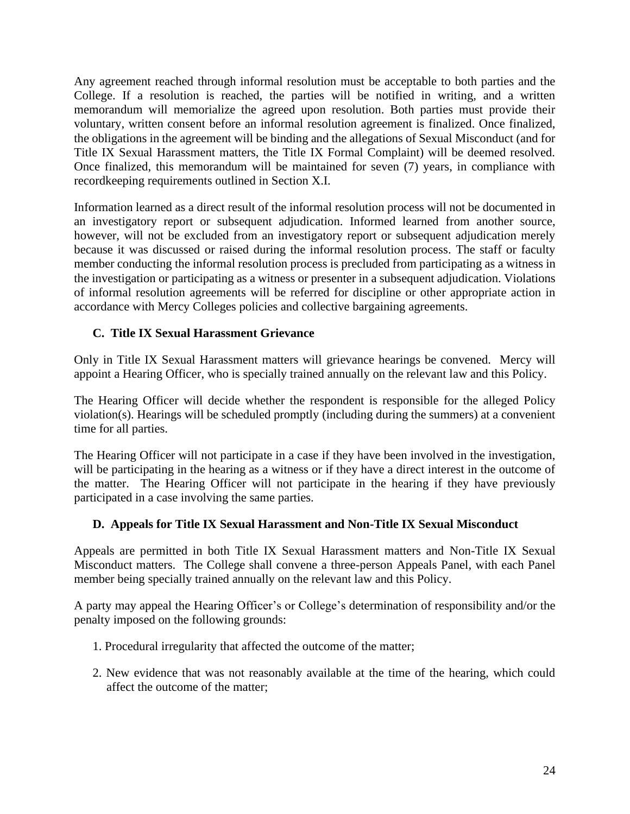Any agreement reached through informal resolution must be acceptable to both parties and the College. If a resolution is reached, the parties will be notified in writing, and a written memorandum will memorialize the agreed upon resolution. Both parties must provide their voluntary, written consent before an informal resolution agreement is finalized. Once finalized, the obligations in the agreement will be binding and the allegations of Sexual Misconduct (and for Title IX Sexual Harassment matters, the Title IX Formal Complaint) will be deemed resolved. Once finalized, this memorandum will be maintained for seven (7) years, in compliance with recordkeeping requirements outlined in Section X.I.

Information learned as a direct result of the informal resolution process will not be documented in an investigatory report or subsequent adjudication. Informed learned from another source, however, will not be excluded from an investigatory report or subsequent adjudication merely because it was discussed or raised during the informal resolution process. The staff or faculty member conducting the informal resolution process is precluded from participating as a witness in the investigation or participating as a witness or presenter in a subsequent adjudication. Violations of informal resolution agreements will be referred for discipline or other appropriate action in accordance with Mercy Colleges policies and collective bargaining agreements.

### **C. Title IX Sexual Harassment Grievance**

Only in Title IX Sexual Harassment matters will grievance hearings be convened. Mercy will appoint a Hearing Officer, who is specially trained annually on the relevant law and this Policy.

The Hearing Officer will decide whether the respondent is responsible for the alleged Policy violation(s). Hearings will be scheduled promptly (including during the summers) at a convenient time for all parties.

The Hearing Officer will not participate in a case if they have been involved in the investigation, will be participating in the hearing as a witness or if they have a direct interest in the outcome of the matter. The Hearing Officer will not participate in the hearing if they have previously participated in a case involving the same parties.

### **D. Appeals for Title IX Sexual Harassment and Non-Title IX Sexual Misconduct**

Appeals are permitted in both Title IX Sexual Harassment matters and Non-Title IX Sexual Misconduct matters. The College shall convene a three-person Appeals Panel, with each Panel member being specially trained annually on the relevant law and this Policy.

A party may appeal the Hearing Officer's or College's determination of responsibility and/or the penalty imposed on the following grounds:

- 1. Procedural irregularity that affected the outcome of the matter;
- 2. New evidence that was not reasonably available at the time of the hearing, which could affect the outcome of the matter;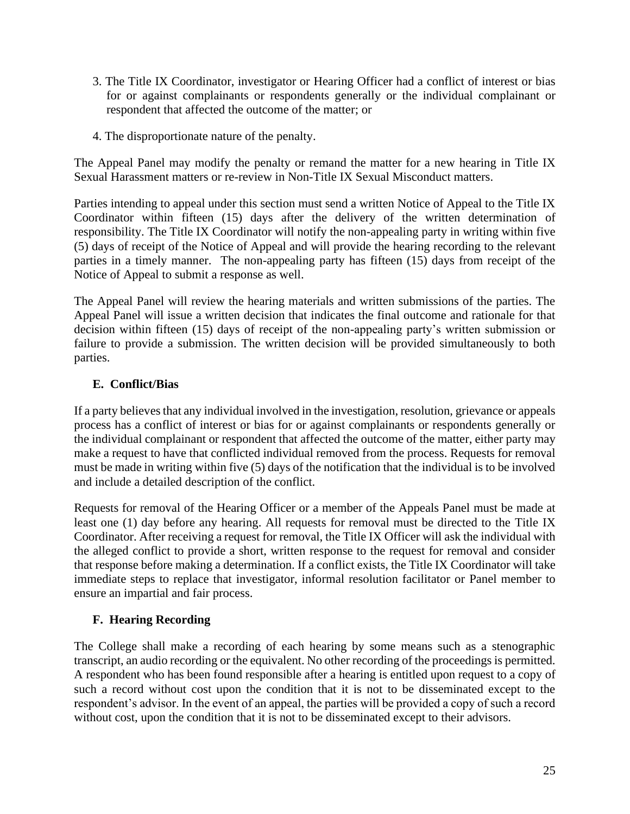- 3. The Title IX Coordinator, investigator or Hearing Officer had a conflict of interest or bias for or against complainants or respondents generally or the individual complainant or respondent that affected the outcome of the matter; or
- 4. The disproportionate nature of the penalty.

The Appeal Panel may modify the penalty or remand the matter for a new hearing in Title IX Sexual Harassment matters or re-review in Non-Title IX Sexual Misconduct matters.

Parties intending to appeal under this section must send a written Notice of Appeal to the Title IX Coordinator within fifteen (15) days after the delivery of the written determination of responsibility. The Title IX Coordinator will notify the non-appealing party in writing within five (5) days of receipt of the Notice of Appeal and will provide the hearing recording to the relevant parties in a timely manner. The non-appealing party has fifteen (15) days from receipt of the Notice of Appeal to submit a response as well.

The Appeal Panel will review the hearing materials and written submissions of the parties. The Appeal Panel will issue a written decision that indicates the final outcome and rationale for that decision within fifteen (15) days of receipt of the non-appealing party's written submission or failure to provide a submission. The written decision will be provided simultaneously to both parties.

# **E. Conflict/Bias**

If a party believes that any individual involved in the investigation, resolution, grievance or appeals process has a conflict of interest or bias for or against complainants or respondents generally or the individual complainant or respondent that affected the outcome of the matter, either party may make a request to have that conflicted individual removed from the process. Requests for removal must be made in writing within five (5) days of the notification that the individual is to be involved and include a detailed description of the conflict.

Requests for removal of the Hearing Officer or a member of the Appeals Panel must be made at least one (1) day before any hearing. All requests for removal must be directed to the Title IX Coordinator. After receiving a request for removal, the Title IX Officer will ask the individual with the alleged conflict to provide a short, written response to the request for removal and consider that response before making a determination. If a conflict exists, the Title IX Coordinator will take immediate steps to replace that investigator, informal resolution facilitator or Panel member to ensure an impartial and fair process.

# **F. Hearing Recording**

The College shall make a recording of each hearing by some means such as a stenographic transcript, an audio recording or the equivalent. No other recording of the proceedings is permitted. A respondent who has been found responsible after a hearing is entitled upon request to a copy of such a record without cost upon the condition that it is not to be disseminated except to the respondent's advisor. In the event of an appeal, the parties will be provided a copy of such a record without cost, upon the condition that it is not to be disseminated except to their advisors.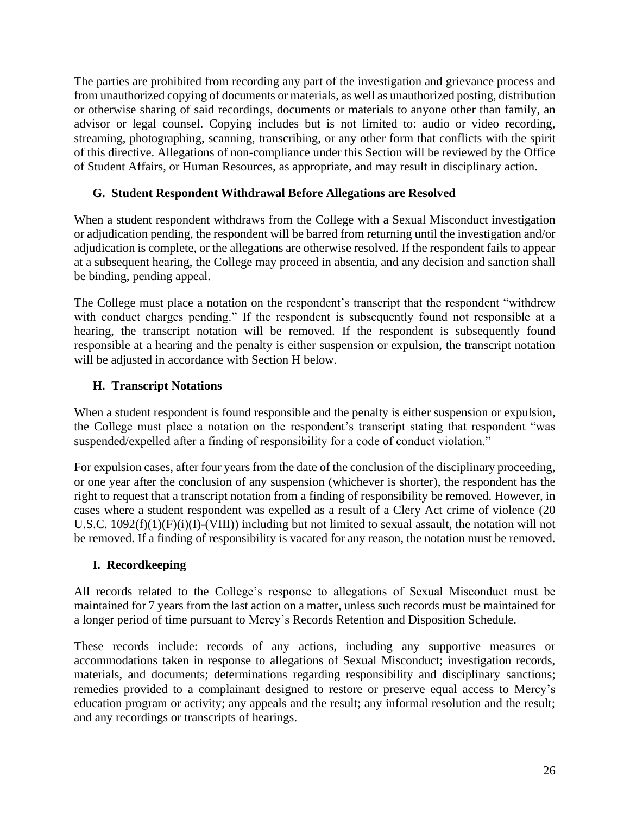The parties are prohibited from recording any part of the investigation and grievance process and from unauthorized copying of documents or materials, as well as unauthorized posting, distribution or otherwise sharing of said recordings, documents or materials to anyone other than family, an advisor or legal counsel. Copying includes but is not limited to: audio or video recording, streaming, photographing, scanning, transcribing, or any other form that conflicts with the spirit of this directive. Allegations of non-compliance under this Section will be reviewed by the Office of Student Affairs, or Human Resources, as appropriate, and may result in disciplinary action.

#### **G. Student Respondent Withdrawal Before Allegations are Resolved**

When a student respondent withdraws from the College with a Sexual Misconduct investigation or adjudication pending, the respondent will be barred from returning until the investigation and/or adjudication is complete, or the allegations are otherwise resolved. If the respondent fails to appear at a subsequent hearing, the College may proceed in absentia, and any decision and sanction shall be binding, pending appeal.

The College must place a notation on the respondent's transcript that the respondent "withdrew with conduct charges pending." If the respondent is subsequently found not responsible at a hearing, the transcript notation will be removed. If the respondent is subsequently found responsible at a hearing and the penalty is either suspension or expulsion, the transcript notation will be adjusted in accordance with Section H below.

### **H. Transcript Notations**

When a student respondent is found responsible and the penalty is either suspension or expulsion, the College must place a notation on the respondent's transcript stating that respondent "was suspended/expelled after a finding of responsibility for a code of conduct violation."

For expulsion cases, after four years from the date of the conclusion of the disciplinary proceeding, or one year after the conclusion of any suspension (whichever is shorter), the respondent has the right to request that a transcript notation from a finding of responsibility be removed. However, in cases where a student respondent was expelled as a result of a Clery Act crime of violence (20 U.S.C. 1092(f)(1)(F)(i)(I)-(VIII)) including but not limited to sexual assault, the notation will not be removed. If a finding of responsibility is vacated for any reason, the notation must be removed.

### **I. Recordkeeping**

All records related to the College's response to allegations of Sexual Misconduct must be maintained for 7 years from the last action on a matter, unless such records must be maintained for a longer period of time pursuant to Mercy's Records Retention and Disposition Schedule.

These records include: records of any actions, including any supportive measures or accommodations taken in response to allegations of Sexual Misconduct; investigation records, materials, and documents; determinations regarding responsibility and disciplinary sanctions; remedies provided to a complainant designed to restore or preserve equal access to Mercy's education program or activity; any appeals and the result; any informal resolution and the result; and any recordings or transcripts of hearings.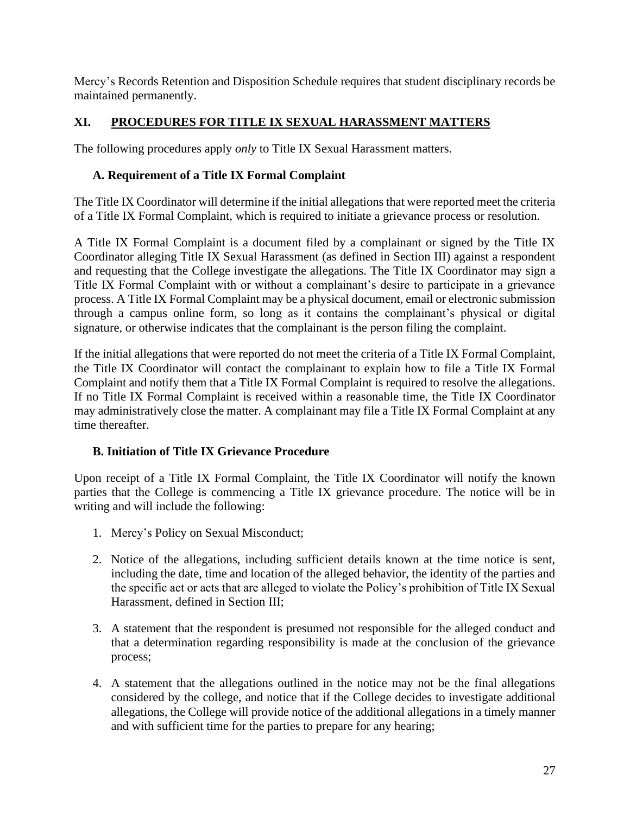Mercy's Records Retention and Disposition Schedule requires that student disciplinary records be maintained permanently.

# **XI. PROCEDURES FOR TITLE IX SEXUAL HARASSMENT MATTERS**

The following procedures apply *only* to Title IX Sexual Harassment matters.

# **A. Requirement of a Title IX Formal Complaint**

The Title IX Coordinator will determine if the initial allegations that were reported meet the criteria of a Title IX Formal Complaint, which is required to initiate a grievance process or resolution.

A Title IX Formal Complaint is a document filed by a complainant or signed by the Title IX Coordinator alleging Title IX Sexual Harassment (as defined in Section III) against a respondent and requesting that the College investigate the allegations. The Title IX Coordinator may sign a Title IX Formal Complaint with or without a complainant's desire to participate in a grievance process. A Title IX Formal Complaint may be a physical document, email or electronic submission through a campus online form, so long as it contains the complainant's physical or digital signature, or otherwise indicates that the complainant is the person filing the complaint.

If the initial allegations that were reported do not meet the criteria of a Title IX Formal Complaint, the Title IX Coordinator will contact the complainant to explain how to file a Title IX Formal Complaint and notify them that a Title IX Formal Complaint is required to resolve the allegations. If no Title IX Formal Complaint is received within a reasonable time, the Title IX Coordinator may administratively close the matter. A complainant may file a Title IX Formal Complaint at any time thereafter.

# **B. Initiation of Title IX Grievance Procedure**

Upon receipt of a Title IX Formal Complaint, the Title IX Coordinator will notify the known parties that the College is commencing a Title IX grievance procedure. The notice will be in writing and will include the following:

- 1. Mercy's Policy on Sexual Misconduct;
- 2. Notice of the allegations, including sufficient details known at the time notice is sent, including the date, time and location of the alleged behavior, the identity of the parties and the specific act or acts that are alleged to violate the Policy's prohibition of Title IX Sexual Harassment, defined in Section III;
- 3. A statement that the respondent is presumed not responsible for the alleged conduct and that a determination regarding responsibility is made at the conclusion of the grievance process;
- 4. A statement that the allegations outlined in the notice may not be the final allegations considered by the college, and notice that if the College decides to investigate additional allegations, the College will provide notice of the additional allegations in a timely manner and with sufficient time for the parties to prepare for any hearing;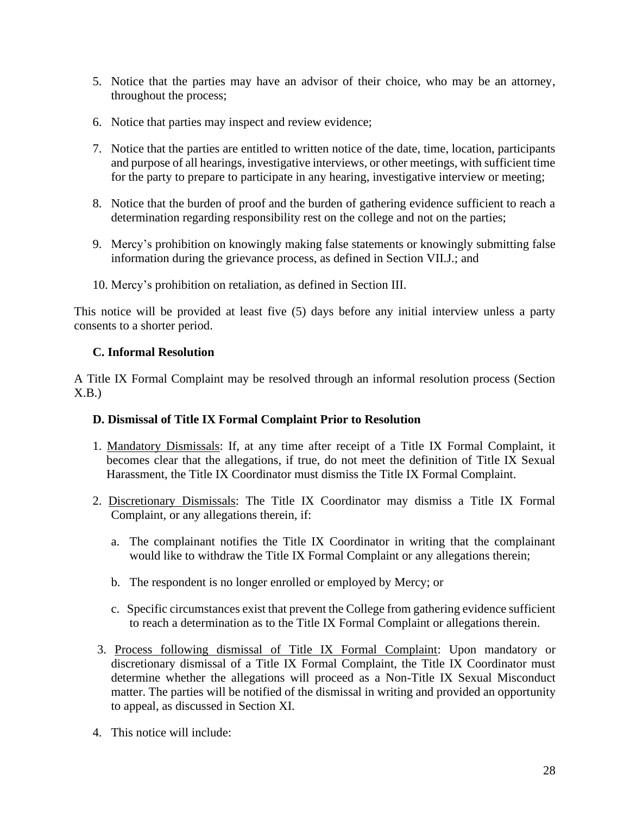- 5. Notice that the parties may have an advisor of their choice, who may be an attorney, throughout the process;
- 6. Notice that parties may inspect and review evidence;
- 7. Notice that the parties are entitled to written notice of the date, time, location, participants and purpose of all hearings, investigative interviews, or other meetings, with sufficient time for the party to prepare to participate in any hearing, investigative interview or meeting;
- 8. Notice that the burden of proof and the burden of gathering evidence sufficient to reach a determination regarding responsibility rest on the college and not on the parties;
- 9. Mercy's prohibition on knowingly making false statements or knowingly submitting false information during the grievance process, as defined in Section VII.J.; and
- 10. Mercy's prohibition on retaliation, as defined in Section III.

This notice will be provided at least five (5) days before any initial interview unless a party consents to a shorter period.

#### **C. Informal Resolution**

A Title IX Formal Complaint may be resolved through an informal resolution process (Section  $X.B.$ 

#### **D. Dismissal of Title IX Formal Complaint Prior to Resolution**

- 1. Mandatory Dismissals: If, at any time after receipt of a Title IX Formal Complaint, it becomes clear that the allegations, if true, do not meet the definition of Title IX Sexual Harassment, the Title IX Coordinator must dismiss the Title IX Formal Complaint.
- 2. Discretionary Dismissals: The Title IX Coordinator may dismiss a Title IX Formal Complaint, or any allegations therein, if:
	- a. The complainant notifies the Title IX Coordinator in writing that the complainant would like to withdraw the Title IX Formal Complaint or any allegations therein;
	- b. The respondent is no longer enrolled or employed by Mercy; or
	- c. Specific circumstances exist that prevent the College from gathering evidence sufficient to reach a determination as to the Title IX Formal Complaint or allegations therein.
- 3. Process following dismissal of Title IX Formal Complaint: Upon mandatory or discretionary dismissal of a Title IX Formal Complaint, the Title IX Coordinator must determine whether the allegations will proceed as a Non-Title IX Sexual Misconduct matter. The parties will be notified of the dismissal in writing and provided an opportunity to appeal, as discussed in Section XI.
- 4. This notice will include: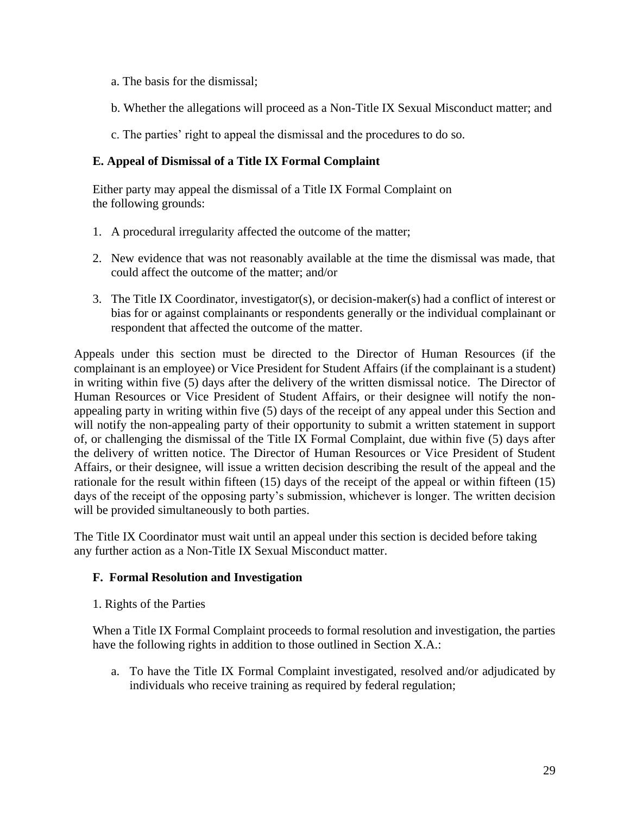- a. The basis for the dismissal;
- b. Whether the allegations will proceed as a Non-Title IX Sexual Misconduct matter; and
- c. The parties' right to appeal the dismissal and the procedures to do so.

#### **E. Appeal of Dismissal of a Title IX Formal Complaint**

Either party may appeal the dismissal of a Title IX Formal Complaint on the following grounds:

- 1. A procedural irregularity affected the outcome of the matter;
- 2. New evidence that was not reasonably available at the time the dismissal was made, that could affect the outcome of the matter; and/or
- 3. The Title IX Coordinator, investigator(s), or decision-maker(s) had a conflict of interest or bias for or against complainants or respondents generally or the individual complainant or respondent that affected the outcome of the matter.

Appeals under this section must be directed to the Director of Human Resources (if the complainant is an employee) or Vice President for Student Affairs (if the complainant is a student) in writing within five (5) days after the delivery of the written dismissal notice. The Director of Human Resources or Vice President of Student Affairs, or their designee will notify the nonappealing party in writing within five (5) days of the receipt of any appeal under this Section and will notify the non-appealing party of their opportunity to submit a written statement in support of, or challenging the dismissal of the Title IX Formal Complaint, due within five (5) days after the delivery of written notice. The Director of Human Resources or Vice President of Student Affairs, or their designee, will issue a written decision describing the result of the appeal and the rationale for the result within fifteen (15) days of the receipt of the appeal or within fifteen (15) days of the receipt of the opposing party's submission, whichever is longer. The written decision will be provided simultaneously to both parties.

The Title IX Coordinator must wait until an appeal under this section is decided before taking any further action as a Non-Title IX Sexual Misconduct matter.

#### **F. Formal Resolution and Investigation**

1. Rights of the Parties

When a Title IX Formal Complaint proceeds to formal resolution and investigation, the parties have the following rights in addition to those outlined in Section X.A.:

a. To have the Title IX Formal Complaint investigated, resolved and/or adjudicated by individuals who receive training as required by federal regulation;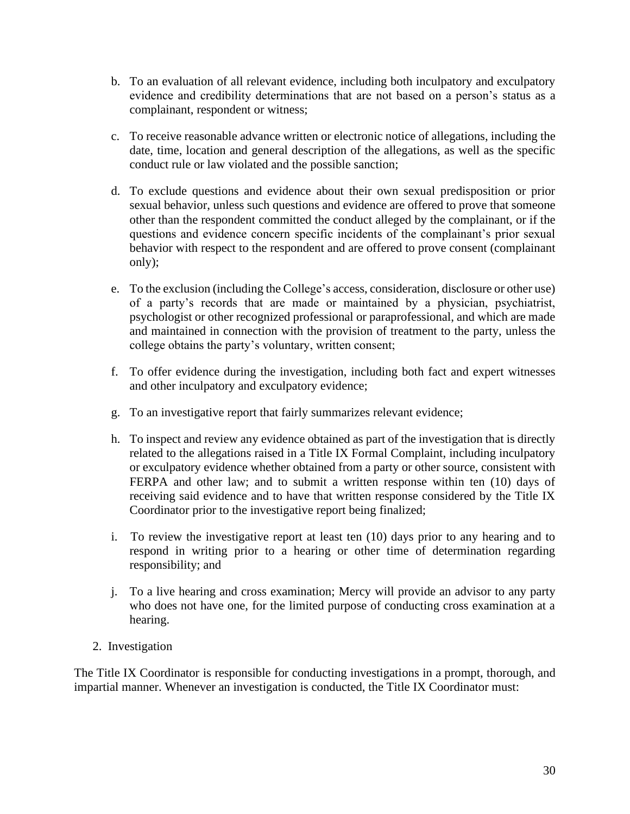- b. To an evaluation of all relevant evidence, including both inculpatory and exculpatory evidence and credibility determinations that are not based on a person's status as a complainant, respondent or witness;
- c. To receive reasonable advance written or electronic notice of allegations, including the date, time, location and general description of the allegations, as well as the specific conduct rule or law violated and the possible sanction;
- d. To exclude questions and evidence about their own sexual predisposition or prior sexual behavior, unless such questions and evidence are offered to prove that someone other than the respondent committed the conduct alleged by the complainant, or if the questions and evidence concern specific incidents of the complainant's prior sexual behavior with respect to the respondent and are offered to prove consent (complainant only);
- e. To the exclusion (including the College's access, consideration, disclosure or other use) of a party's records that are made or maintained by a physician, psychiatrist, psychologist or other recognized professional or paraprofessional, and which are made and maintained in connection with the provision of treatment to the party, unless the college obtains the party's voluntary, written consent;
- f. To offer evidence during the investigation, including both fact and expert witnesses and other inculpatory and exculpatory evidence;
- g. To an investigative report that fairly summarizes relevant evidence;
- h. To inspect and review any evidence obtained as part of the investigation that is directly related to the allegations raised in a Title IX Formal Complaint, including inculpatory or exculpatory evidence whether obtained from a party or other source, consistent with FERPA and other law; and to submit a written response within ten (10) days of receiving said evidence and to have that written response considered by the Title IX Coordinator prior to the investigative report being finalized;
- i. To review the investigative report at least ten (10) days prior to any hearing and to respond in writing prior to a hearing or other time of determination regarding responsibility; and
- j. To a live hearing and cross examination; Mercy will provide an advisor to any party who does not have one, for the limited purpose of conducting cross examination at a hearing.
- 2. Investigation

The Title IX Coordinator is responsible for conducting investigations in a prompt, thorough, and impartial manner. Whenever an investigation is conducted, the Title IX Coordinator must: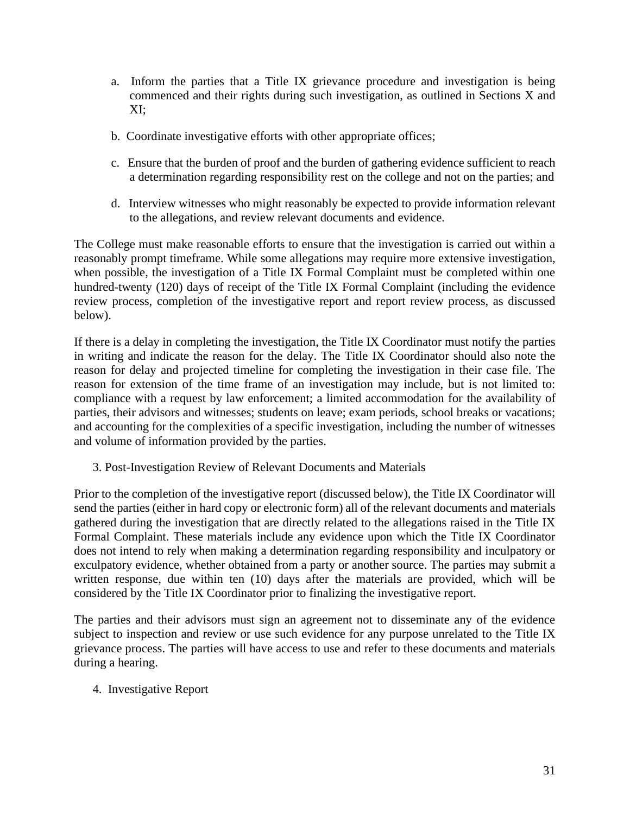- a. Inform the parties that a Title IX grievance procedure and investigation is being commenced and their rights during such investigation, as outlined in Sections X and XI;
- b. Coordinate investigative efforts with other appropriate offices;
- c. Ensure that the burden of proof and the burden of gathering evidence sufficient to reach a determination regarding responsibility rest on the college and not on the parties; and
- d. Interview witnesses who might reasonably be expected to provide information relevant to the allegations, and review relevant documents and evidence.

The College must make reasonable efforts to ensure that the investigation is carried out within a reasonably prompt timeframe. While some allegations may require more extensive investigation, when possible, the investigation of a Title IX Formal Complaint must be completed within one hundred-twenty (120) days of receipt of the Title IX Formal Complaint (including the evidence review process, completion of the investigative report and report review process, as discussed below).

If there is a delay in completing the investigation, the Title IX Coordinator must notify the parties in writing and indicate the reason for the delay. The Title IX Coordinator should also note the reason for delay and projected timeline for completing the investigation in their case file. The reason for extension of the time frame of an investigation may include, but is not limited to: compliance with a request by law enforcement; a limited accommodation for the availability of parties, their advisors and witnesses; students on leave; exam periods, school breaks or vacations; and accounting for the complexities of a specific investigation, including the number of witnesses and volume of information provided by the parties.

3. Post-Investigation Review of Relevant Documents and Materials

Prior to the completion of the investigative report (discussed below), the Title IX Coordinator will send the parties (either in hard copy or electronic form) all of the relevant documents and materials gathered during the investigation that are directly related to the allegations raised in the Title IX Formal Complaint. These materials include any evidence upon which the Title IX Coordinator does not intend to rely when making a determination regarding responsibility and inculpatory or exculpatory evidence, whether obtained from a party or another source. The parties may submit a written response, due within ten (10) days after the materials are provided, which will be considered by the Title IX Coordinator prior to finalizing the investigative report.

The parties and their advisors must sign an agreement not to disseminate any of the evidence subject to inspection and review or use such evidence for any purpose unrelated to the Title IX grievance process. The parties will have access to use and refer to these documents and materials during a hearing.

4. Investigative Report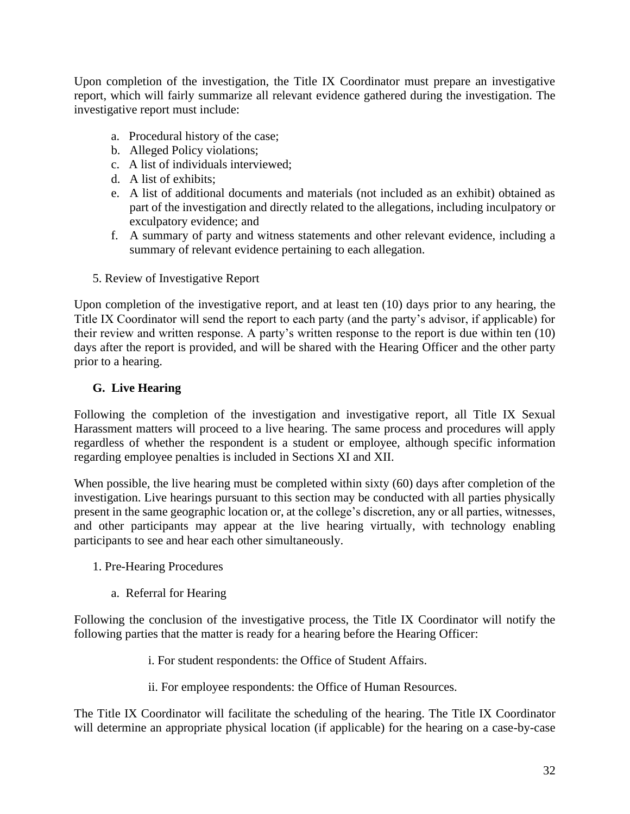Upon completion of the investigation, the Title IX Coordinator must prepare an investigative report, which will fairly summarize all relevant evidence gathered during the investigation. The investigative report must include:

- a. Procedural history of the case;
- b. Alleged Policy violations;
- c. A list of individuals interviewed;
- d. A list of exhibits;
- e. A list of additional documents and materials (not included as an exhibit) obtained as part of the investigation and directly related to the allegations, including inculpatory or exculpatory evidence; and
- f. A summary of party and witness statements and other relevant evidence, including a summary of relevant evidence pertaining to each allegation.
- 5. Review of Investigative Report

Upon completion of the investigative report, and at least ten (10) days prior to any hearing, the Title IX Coordinator will send the report to each party (and the party's advisor, if applicable) for their review and written response. A party's written response to the report is due within ten (10) days after the report is provided, and will be shared with the Hearing Officer and the other party prior to a hearing.

### **G. Live Hearing**

Following the completion of the investigation and investigative report, all Title IX Sexual Harassment matters will proceed to a live hearing. The same process and procedures will apply regardless of whether the respondent is a student or employee, although specific information regarding employee penalties is included in Sections XI and XII.

When possible, the live hearing must be completed within sixty (60) days after completion of the investigation. Live hearings pursuant to this section may be conducted with all parties physically present in the same geographic location or, at the college's discretion, any or all parties, witnesses, and other participants may appear at the live hearing virtually, with technology enabling participants to see and hear each other simultaneously.

- 1. Pre-Hearing Procedures
	- a. Referral for Hearing

Following the conclusion of the investigative process, the Title IX Coordinator will notify the following parties that the matter is ready for a hearing before the Hearing Officer:

- i. For student respondents: the Office of Student Affairs.
- ii. For employee respondents: the Office of Human Resources.

The Title IX Coordinator will facilitate the scheduling of the hearing. The Title IX Coordinator will determine an appropriate physical location (if applicable) for the hearing on a case-by-case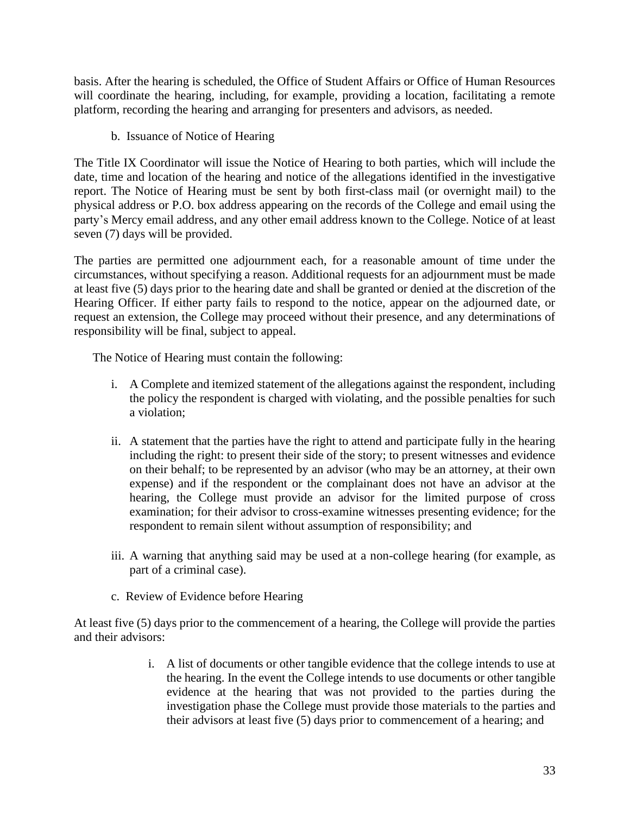basis. After the hearing is scheduled, the Office of Student Affairs or Office of Human Resources will coordinate the hearing, including, for example, providing a location, facilitating a remote platform, recording the hearing and arranging for presenters and advisors, as needed.

b. Issuance of Notice of Hearing

The Title IX Coordinator will issue the Notice of Hearing to both parties, which will include the date, time and location of the hearing and notice of the allegations identified in the investigative report. The Notice of Hearing must be sent by both first-class mail (or overnight mail) to the physical address or P.O. box address appearing on the records of the College and email using the party's Mercy email address, and any other email address known to the College. Notice of at least seven (7) days will be provided.

The parties are permitted one adjournment each, for a reasonable amount of time under the circumstances, without specifying a reason. Additional requests for an adjournment must be made at least five (5) days prior to the hearing date and shall be granted or denied at the discretion of the Hearing Officer. If either party fails to respond to the notice, appear on the adjourned date, or request an extension, the College may proceed without their presence, and any determinations of responsibility will be final, subject to appeal.

The Notice of Hearing must contain the following:

- i. A Complete and itemized statement of the allegations against the respondent, including the policy the respondent is charged with violating, and the possible penalties for such a violation;
- ii. A statement that the parties have the right to attend and participate fully in the hearing including the right: to present their side of the story; to present witnesses and evidence on their behalf; to be represented by an advisor (who may be an attorney, at their own expense) and if the respondent or the complainant does not have an advisor at the hearing, the College must provide an advisor for the limited purpose of cross examination; for their advisor to cross-examine witnesses presenting evidence; for the respondent to remain silent without assumption of responsibility; and
- iii. A warning that anything said may be used at a non-college hearing (for example, as part of a criminal case).
- c. Review of Evidence before Hearing

At least five (5) days prior to the commencement of a hearing, the College will provide the parties and their advisors:

> i. A list of documents or other tangible evidence that the college intends to use at the hearing. In the event the College intends to use documents or other tangible evidence at the hearing that was not provided to the parties during the investigation phase the College must provide those materials to the parties and their advisors at least five (5) days prior to commencement of a hearing; and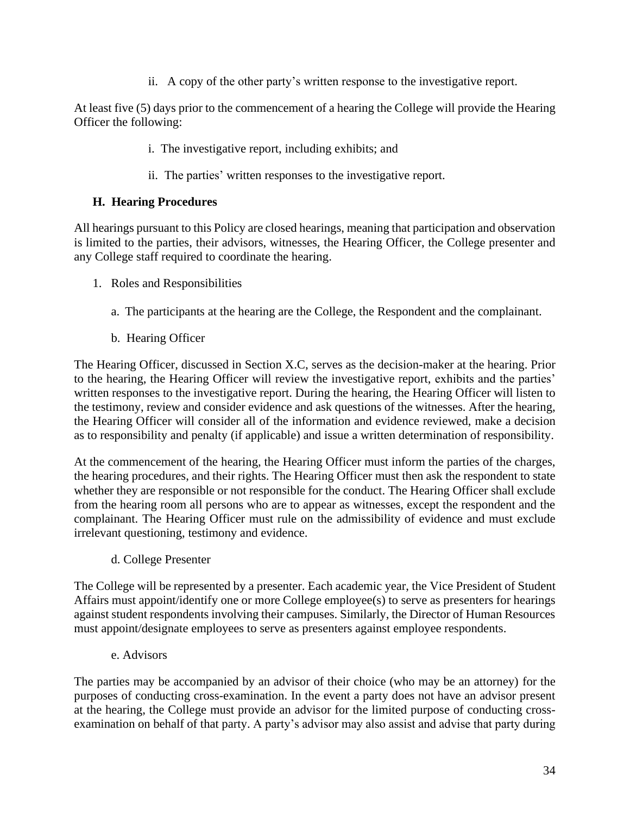ii. A copy of the other party's written response to the investigative report.

At least five (5) days prior to the commencement of a hearing the College will provide the Hearing Officer the following:

- i. The investigative report, including exhibits; and
- ii. The parties' written responses to the investigative report.

### **H. Hearing Procedures**

All hearings pursuant to this Policy are closed hearings, meaning that participation and observation is limited to the parties, their advisors, witnesses, the Hearing Officer, the College presenter and any College staff required to coordinate the hearing.

- 1. Roles and Responsibilities
	- a. The participants at the hearing are the College, the Respondent and the complainant.
	- b. Hearing Officer

The Hearing Officer, discussed in Section X.C, serves as the decision-maker at the hearing. Prior to the hearing, the Hearing Officer will review the investigative report, exhibits and the parties' written responses to the investigative report. During the hearing, the Hearing Officer will listen to the testimony, review and consider evidence and ask questions of the witnesses. After the hearing, the Hearing Officer will consider all of the information and evidence reviewed, make a decision as to responsibility and penalty (if applicable) and issue a written determination of responsibility.

At the commencement of the hearing, the Hearing Officer must inform the parties of the charges, the hearing procedures, and their rights. The Hearing Officer must then ask the respondent to state whether they are responsible or not responsible for the conduct. The Hearing Officer shall exclude from the hearing room all persons who are to appear as witnesses, except the respondent and the complainant. The Hearing Officer must rule on the admissibility of evidence and must exclude irrelevant questioning, testimony and evidence.

d. College Presenter

The College will be represented by a presenter. Each academic year, the Vice President of Student Affairs must appoint/identify one or more College employee(s) to serve as presenters for hearings against student respondents involving their campuses. Similarly, the Director of Human Resources must appoint/designate employees to serve as presenters against employee respondents.

e. Advisors

The parties may be accompanied by an advisor of their choice (who may be an attorney) for the purposes of conducting cross-examination. In the event a party does not have an advisor present at the hearing, the College must provide an advisor for the limited purpose of conducting crossexamination on behalf of that party. A party's advisor may also assist and advise that party during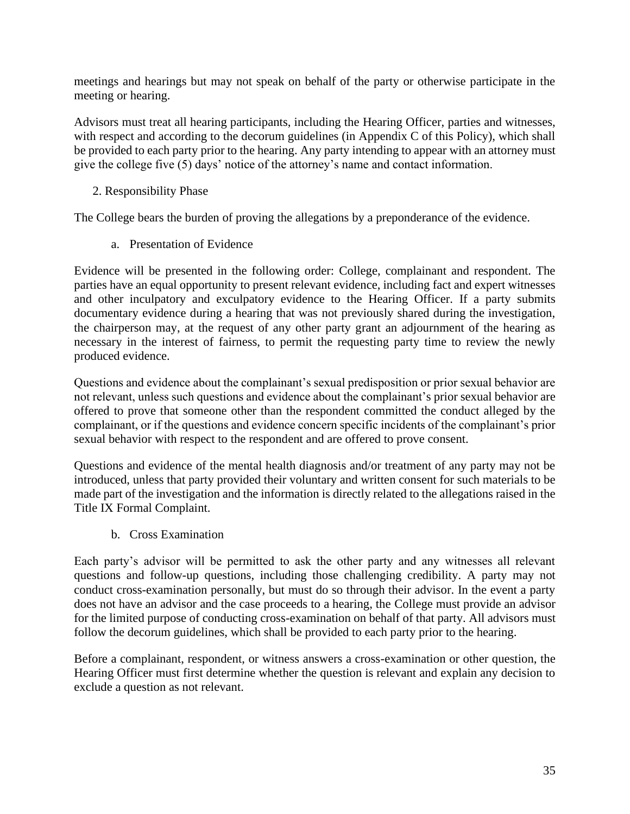meetings and hearings but may not speak on behalf of the party or otherwise participate in the meeting or hearing.

Advisors must treat all hearing participants, including the Hearing Officer, parties and witnesses, with respect and according to the decorum guidelines (in Appendix C of this Policy), which shall be provided to each party prior to the hearing. Any party intending to appear with an attorney must give the college five (5) days' notice of the attorney's name and contact information.

2. Responsibility Phase

The College bears the burden of proving the allegations by a preponderance of the evidence.

a. Presentation of Evidence

Evidence will be presented in the following order: College, complainant and respondent. The parties have an equal opportunity to present relevant evidence, including fact and expert witnesses and other inculpatory and exculpatory evidence to the Hearing Officer. If a party submits documentary evidence during a hearing that was not previously shared during the investigation, the chairperson may, at the request of any other party grant an adjournment of the hearing as necessary in the interest of fairness, to permit the requesting party time to review the newly produced evidence.

Questions and evidence about the complainant's sexual predisposition or prior sexual behavior are not relevant, unless such questions and evidence about the complainant's prior sexual behavior are offered to prove that someone other than the respondent committed the conduct alleged by the complainant, or if the questions and evidence concern specific incidents of the complainant's prior sexual behavior with respect to the respondent and are offered to prove consent.

Questions and evidence of the mental health diagnosis and/or treatment of any party may not be introduced, unless that party provided their voluntary and written consent for such materials to be made part of the investigation and the information is directly related to the allegations raised in the Title IX Formal Complaint.

b. Cross Examination

Each party's advisor will be permitted to ask the other party and any witnesses all relevant questions and follow-up questions, including those challenging credibility. A party may not conduct cross-examination personally, but must do so through their advisor. In the event a party does not have an advisor and the case proceeds to a hearing, the College must provide an advisor for the limited purpose of conducting cross-examination on behalf of that party. All advisors must follow the decorum guidelines, which shall be provided to each party prior to the hearing.

Before a complainant, respondent, or witness answers a cross-examination or other question, the Hearing Officer must first determine whether the question is relevant and explain any decision to exclude a question as not relevant.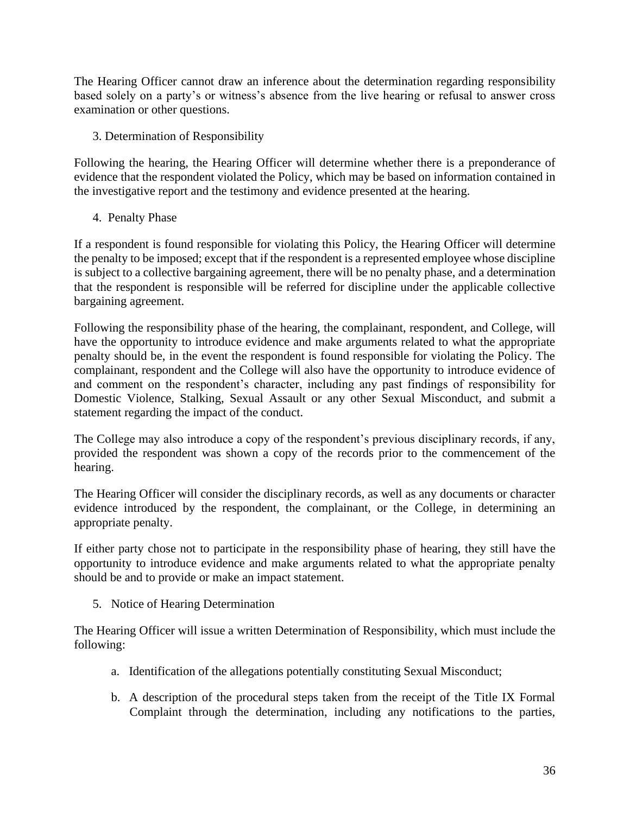The Hearing Officer cannot draw an inference about the determination regarding responsibility based solely on a party's or witness's absence from the live hearing or refusal to answer cross examination or other questions.

3. Determination of Responsibility

Following the hearing, the Hearing Officer will determine whether there is a preponderance of evidence that the respondent violated the Policy, which may be based on information contained in the investigative report and the testimony and evidence presented at the hearing.

4. Penalty Phase

If a respondent is found responsible for violating this Policy, the Hearing Officer will determine the penalty to be imposed; except that if the respondent is a represented employee whose discipline is subject to a collective bargaining agreement, there will be no penalty phase, and a determination that the respondent is responsible will be referred for discipline under the applicable collective bargaining agreement.

Following the responsibility phase of the hearing, the complainant, respondent, and College, will have the opportunity to introduce evidence and make arguments related to what the appropriate penalty should be, in the event the respondent is found responsible for violating the Policy. The complainant, respondent and the College will also have the opportunity to introduce evidence of and comment on the respondent's character, including any past findings of responsibility for Domestic Violence, Stalking, Sexual Assault or any other Sexual Misconduct, and submit a statement regarding the impact of the conduct.

The College may also introduce a copy of the respondent's previous disciplinary records, if any, provided the respondent was shown a copy of the records prior to the commencement of the hearing.

The Hearing Officer will consider the disciplinary records, as well as any documents or character evidence introduced by the respondent, the complainant, or the College, in determining an appropriate penalty.

If either party chose not to participate in the responsibility phase of hearing, they still have the opportunity to introduce evidence and make arguments related to what the appropriate penalty should be and to provide or make an impact statement.

5. Notice of Hearing Determination

The Hearing Officer will issue a written Determination of Responsibility, which must include the following:

- a. Identification of the allegations potentially constituting Sexual Misconduct;
- b. A description of the procedural steps taken from the receipt of the Title IX Formal Complaint through the determination, including any notifications to the parties,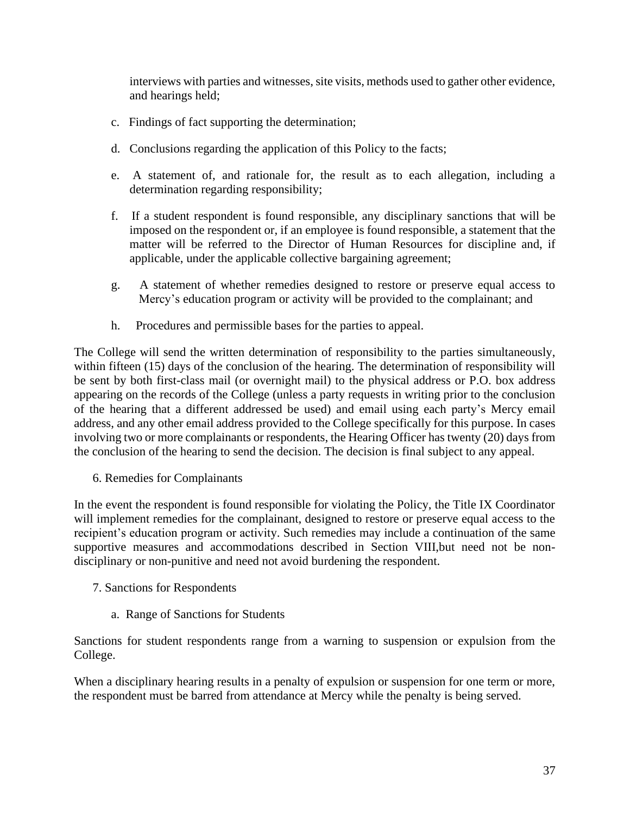interviews with parties and witnesses, site visits, methods used to gather other evidence, and hearings held;

- c. Findings of fact supporting the determination;
- d. Conclusions regarding the application of this Policy to the facts;
- e. A statement of, and rationale for, the result as to each allegation, including a determination regarding responsibility;
- f. If a student respondent is found responsible, any disciplinary sanctions that will be imposed on the respondent or, if an employee is found responsible, a statement that the matter will be referred to the Director of Human Resources for discipline and, if applicable, under the applicable collective bargaining agreement;
- g. A statement of whether remedies designed to restore or preserve equal access to Mercy's education program or activity will be provided to the complainant; and
- h. Procedures and permissible bases for the parties to appeal.

The College will send the written determination of responsibility to the parties simultaneously, within fifteen (15) days of the conclusion of the hearing. The determination of responsibility will be sent by both first-class mail (or overnight mail) to the physical address or P.O. box address appearing on the records of the College (unless a party requests in writing prior to the conclusion of the hearing that a different addressed be used) and email using each party's Mercy email address, and any other email address provided to the College specifically for this purpose. In cases involving two or more complainants or respondents, the Hearing Officer has twenty (20) days from the conclusion of the hearing to send the decision. The decision is final subject to any appeal.

6. Remedies for Complainants

In the event the respondent is found responsible for violating the Policy, the Title IX Coordinator will implement remedies for the complainant, designed to restore or preserve equal access to the recipient's education program or activity. Such remedies may include a continuation of the same supportive measures and accommodations described in Section VIII,but need not be nondisciplinary or non-punitive and need not avoid burdening the respondent.

- 7. Sanctions for Respondents
	- a. Range of Sanctions for Students

Sanctions for student respondents range from a warning to suspension or expulsion from the College.

When a disciplinary hearing results in a penalty of expulsion or suspension for one term or more, the respondent must be barred from attendance at Mercy while the penalty is being served.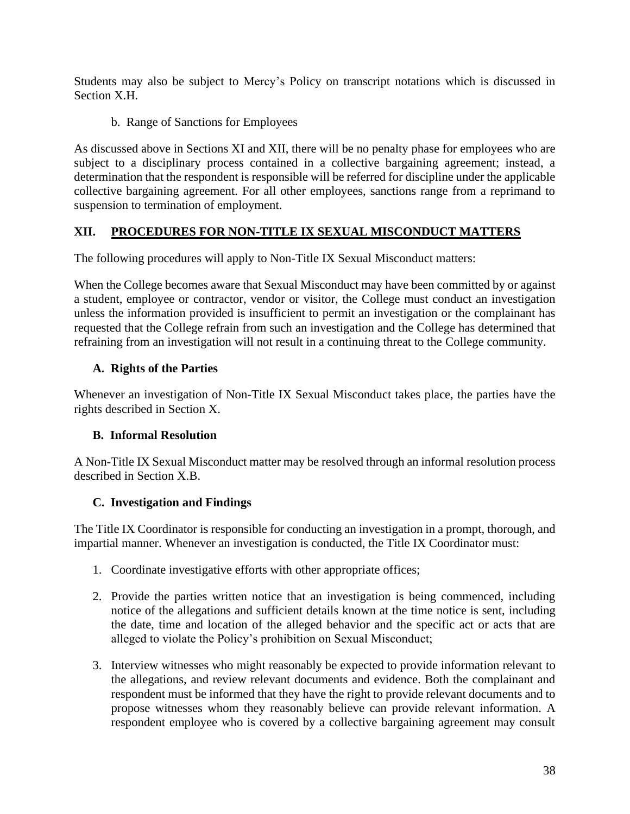Students may also be subject to Mercy's Policy on transcript notations which is discussed in Section X.H.

b. Range of Sanctions for Employees

As discussed above in Sections XI and XII, there will be no penalty phase for employees who are subject to a disciplinary process contained in a collective bargaining agreement; instead, a determination that the respondent is responsible will be referred for discipline under the applicable collective bargaining agreement. For all other employees, sanctions range from a reprimand to suspension to termination of employment.

# **XII. PROCEDURES FOR NON-TITLE IX SEXUAL MISCONDUCT MATTERS**

The following procedures will apply to Non-Title IX Sexual Misconduct matters:

When the College becomes aware that Sexual Misconduct may have been committed by or against a student, employee or contractor, vendor or visitor, the College must conduct an investigation unless the information provided is insufficient to permit an investigation or the complainant has requested that the College refrain from such an investigation and the College has determined that refraining from an investigation will not result in a continuing threat to the College community.

# **A. Rights of the Parties**

Whenever an investigation of Non-Title IX Sexual Misconduct takes place, the parties have the rights described in Section X.

### **B. Informal Resolution**

A Non-Title IX Sexual Misconduct matter may be resolved through an informal resolution process described in Section X.B.

### **C. Investigation and Findings**

The Title IX Coordinator is responsible for conducting an investigation in a prompt, thorough, and impartial manner. Whenever an investigation is conducted, the Title IX Coordinator must:

- 1. Coordinate investigative efforts with other appropriate offices;
- 2. Provide the parties written notice that an investigation is being commenced, including notice of the allegations and sufficient details known at the time notice is sent, including the date, time and location of the alleged behavior and the specific act or acts that are alleged to violate the Policy's prohibition on Sexual Misconduct;
- 3. Interview witnesses who might reasonably be expected to provide information relevant to the allegations, and review relevant documents and evidence. Both the complainant and respondent must be informed that they have the right to provide relevant documents and to propose witnesses whom they reasonably believe can provide relevant information. A respondent employee who is covered by a collective bargaining agreement may consult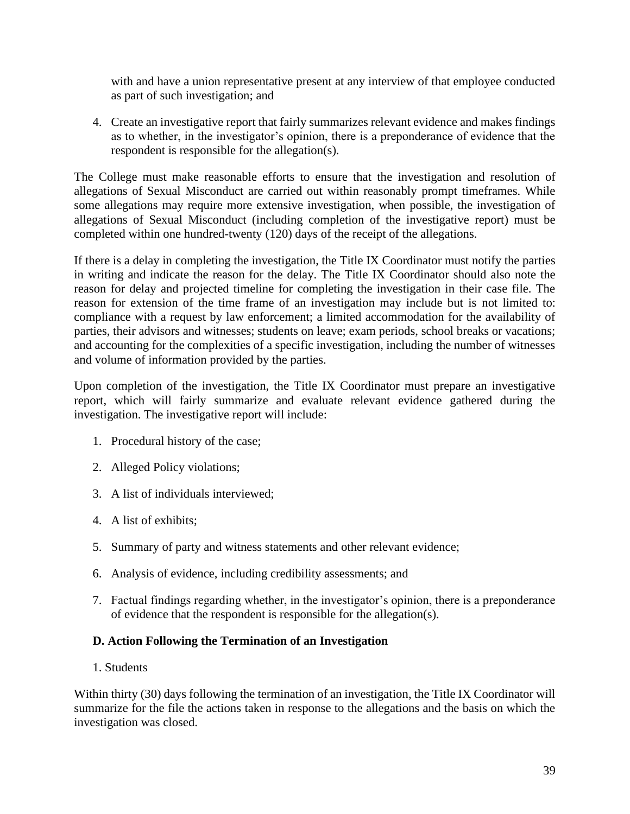with and have a union representative present at any interview of that employee conducted as part of such investigation; and

4. Create an investigative report that fairly summarizes relevant evidence and makes findings as to whether, in the investigator's opinion, there is a preponderance of evidence that the respondent is responsible for the allegation(s).

The College must make reasonable efforts to ensure that the investigation and resolution of allegations of Sexual Misconduct are carried out within reasonably prompt timeframes. While some allegations may require more extensive investigation, when possible, the investigation of allegations of Sexual Misconduct (including completion of the investigative report) must be completed within one hundred-twenty (120) days of the receipt of the allegations.

If there is a delay in completing the investigation, the Title IX Coordinator must notify the parties in writing and indicate the reason for the delay. The Title IX Coordinator should also note the reason for delay and projected timeline for completing the investigation in their case file. The reason for extension of the time frame of an investigation may include but is not limited to: compliance with a request by law enforcement; a limited accommodation for the availability of parties, their advisors and witnesses; students on leave; exam periods, school breaks or vacations; and accounting for the complexities of a specific investigation, including the number of witnesses and volume of information provided by the parties.

Upon completion of the investigation, the Title IX Coordinator must prepare an investigative report, which will fairly summarize and evaluate relevant evidence gathered during the investigation. The investigative report will include:

- 1. Procedural history of the case;
- 2. Alleged Policy violations;
- 3. A list of individuals interviewed;
- 4. A list of exhibits;
- 5. Summary of party and witness statements and other relevant evidence;
- 6. Analysis of evidence, including credibility assessments; and
- 7. Factual findings regarding whether, in the investigator's opinion, there is a preponderance of evidence that the respondent is responsible for the allegation(s).

# **D. Action Following the Termination of an Investigation**

1. Students

Within thirty (30) days following the termination of an investigation, the Title IX Coordinator will summarize for the file the actions taken in response to the allegations and the basis on which the investigation was closed.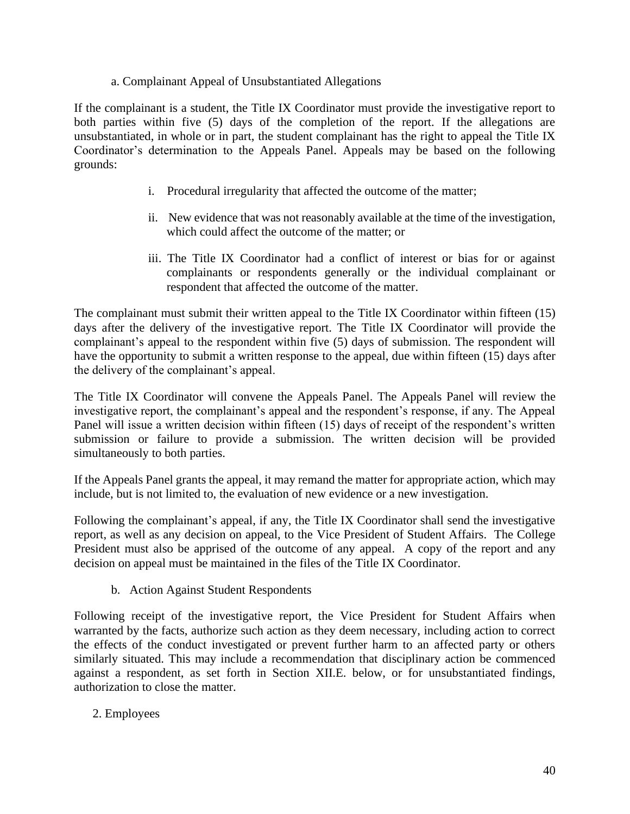#### a. Complainant Appeal of Unsubstantiated Allegations

If the complainant is a student, the Title IX Coordinator must provide the investigative report to both parties within five (5) days of the completion of the report. If the allegations are unsubstantiated, in whole or in part, the student complainant has the right to appeal the Title IX Coordinator's determination to the Appeals Panel. Appeals may be based on the following grounds:

- i. Procedural irregularity that affected the outcome of the matter;
- ii. New evidence that was not reasonably available at the time of the investigation, which could affect the outcome of the matter; or
- iii. The Title IX Coordinator had a conflict of interest or bias for or against complainants or respondents generally or the individual complainant or respondent that affected the outcome of the matter.

The complainant must submit their written appeal to the Title IX Coordinator within fifteen (15) days after the delivery of the investigative report. The Title IX Coordinator will provide the complainant's appeal to the respondent within five (5) days of submission. The respondent will have the opportunity to submit a written response to the appeal, due within fifteen (15) days after the delivery of the complainant's appeal.

The Title IX Coordinator will convene the Appeals Panel. The Appeals Panel will review the investigative report, the complainant's appeal and the respondent's response, if any. The Appeal Panel will issue a written decision within fifteen (15) days of receipt of the respondent's written submission or failure to provide a submission. The written decision will be provided simultaneously to both parties.

If the Appeals Panel grants the appeal, it may remand the matter for appropriate action, which may include, but is not limited to, the evaluation of new evidence or a new investigation.

Following the complainant's appeal, if any, the Title IX Coordinator shall send the investigative report, as well as any decision on appeal, to the Vice President of Student Affairs. The College President must also be apprised of the outcome of any appeal. A copy of the report and any decision on appeal must be maintained in the files of the Title IX Coordinator.

b. Action Against Student Respondents

Following receipt of the investigative report, the Vice President for Student Affairs when warranted by the facts, authorize such action as they deem necessary, including action to correct the effects of the conduct investigated or prevent further harm to an affected party or others similarly situated. This may include a recommendation that disciplinary action be commenced against a respondent, as set forth in Section XII.E. below, or for unsubstantiated findings, authorization to close the matter.

2. Employees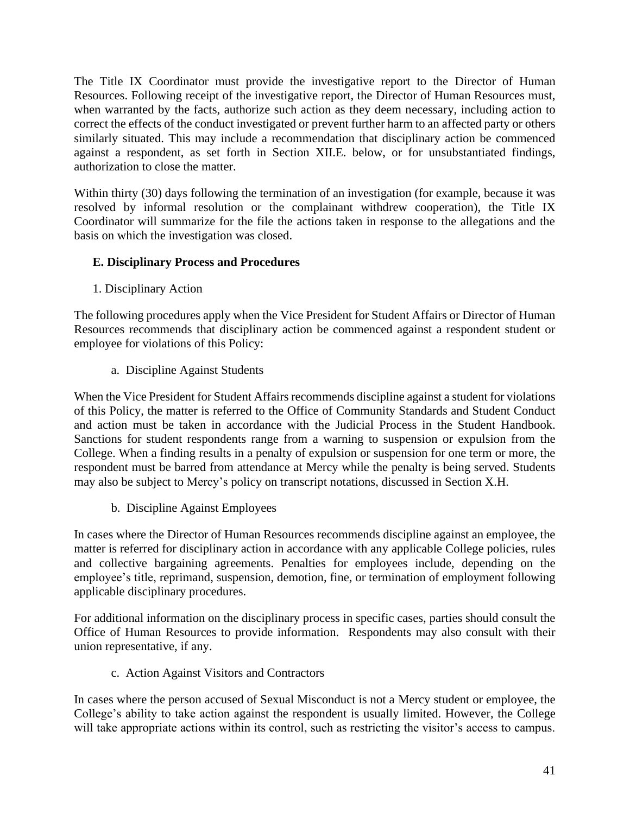The Title IX Coordinator must provide the investigative report to the Director of Human Resources. Following receipt of the investigative report, the Director of Human Resources must, when warranted by the facts, authorize such action as they deem necessary, including action to correct the effects of the conduct investigated or prevent further harm to an affected party or others similarly situated. This may include a recommendation that disciplinary action be commenced against a respondent, as set forth in Section XII.E. below, or for unsubstantiated findings, authorization to close the matter.

Within thirty (30) days following the termination of an investigation (for example, because it was resolved by informal resolution or the complainant withdrew cooperation), the Title IX Coordinator will summarize for the file the actions taken in response to the allegations and the basis on which the investigation was closed.

### **E. Disciplinary Process and Procedures**

1. Disciplinary Action

The following procedures apply when the Vice President for Student Affairs or Director of Human Resources recommends that disciplinary action be commenced against a respondent student or employee for violations of this Policy:

a. Discipline Against Students

When the Vice President for Student Affairs recommends discipline against a student for violations of this Policy, the matter is referred to the Office of Community Standards and Student Conduct and action must be taken in accordance with the Judicial Process in the Student Handbook. Sanctions for student respondents range from a warning to suspension or expulsion from the College. When a finding results in a penalty of expulsion or suspension for one term or more, the respondent must be barred from attendance at Mercy while the penalty is being served. Students may also be subject to Mercy's policy on transcript notations, discussed in Section X.H.

b. Discipline Against Employees

In cases where the Director of Human Resources recommends discipline against an employee, the matter is referred for disciplinary action in accordance with any applicable College policies, rules and collective bargaining agreements. Penalties for employees include, depending on the employee's title, reprimand, suspension, demotion, fine, or termination of employment following applicable disciplinary procedures.

For additional information on the disciplinary process in specific cases, parties should consult the Office of Human Resources to provide information. Respondents may also consult with their union representative, if any.

c. Action Against Visitors and Contractors

In cases where the person accused of Sexual Misconduct is not a Mercy student or employee, the College's ability to take action against the respondent is usually limited. However, the College will take appropriate actions within its control, such as restricting the visitor's access to campus.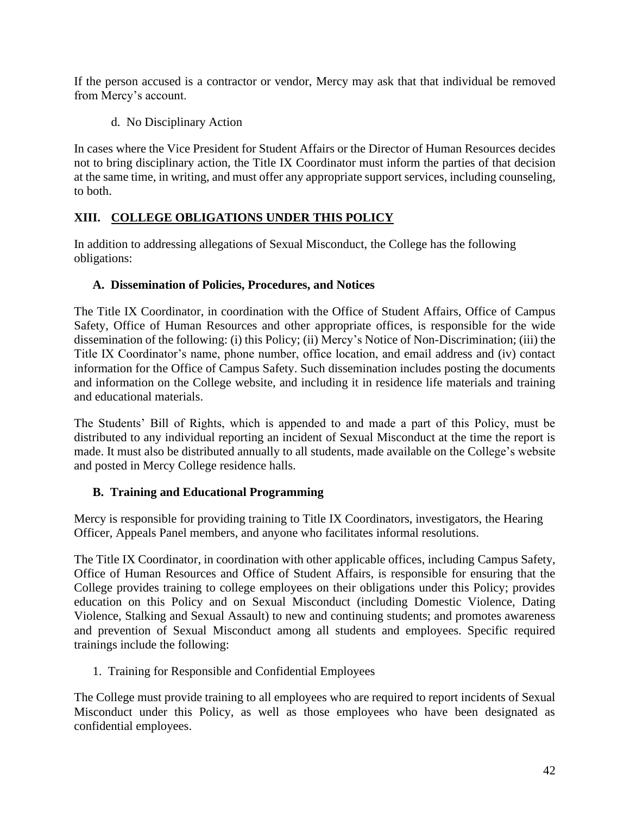If the person accused is a contractor or vendor, Mercy may ask that that individual be removed from Mercy's account.

d. No Disciplinary Action

In cases where the Vice President for Student Affairs or the Director of Human Resources decides not to bring disciplinary action, the Title IX Coordinator must inform the parties of that decision at the same time, in writing, and must offer any appropriate support services, including counseling, to both.

### **XIII. COLLEGE OBLIGATIONS UNDER THIS POLICY**

In addition to addressing allegations of Sexual Misconduct, the College has the following obligations:

### **A. Dissemination of Policies, Procedures, and Notices**

The Title IX Coordinator, in coordination with the Office of Student Affairs, Office of Campus Safety, Office of Human Resources and other appropriate offices, is responsible for the wide dissemination of the following: (i) this Policy; (ii) Mercy's Notice of Non-Discrimination; (iii) the Title IX Coordinator's name, phone number, office location, and email address and (iv) contact information for the Office of Campus Safety. Such dissemination includes posting the documents and information on the College website, and including it in residence life materials and training and educational materials.

The Students' Bill of Rights, which is appended to and made a part of this Policy, must be distributed to any individual reporting an incident of Sexual Misconduct at the time the report is made. It must also be distributed annually to all students, made available on the College's website and posted in Mercy College residence halls.

# **B. Training and Educational Programming**

Mercy is responsible for providing training to Title IX Coordinators, investigators, the Hearing Officer, Appeals Panel members, and anyone who facilitates informal resolutions.

The Title IX Coordinator, in coordination with other applicable offices, including Campus Safety, Office of Human Resources and Office of Student Affairs, is responsible for ensuring that the College provides training to college employees on their obligations under this Policy; provides education on this Policy and on Sexual Misconduct (including Domestic Violence, Dating Violence, Stalking and Sexual Assault) to new and continuing students; and promotes awareness and prevention of Sexual Misconduct among all students and employees. Specific required trainings include the following:

1. Training for Responsible and Confidential Employees

The College must provide training to all employees who are required to report incidents of Sexual Misconduct under this Policy, as well as those employees who have been designated as confidential employees.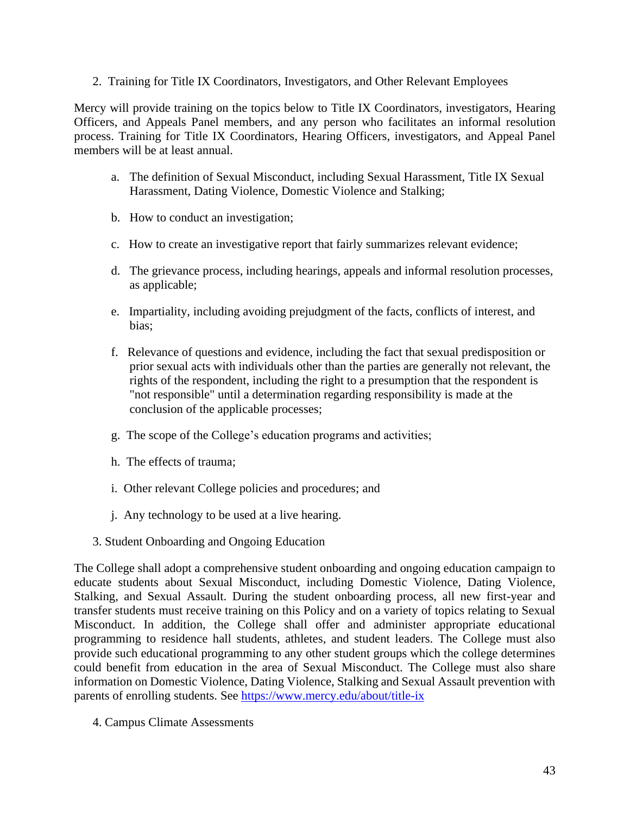2. Training for Title IX Coordinators, Investigators, and Other Relevant Employees

Mercy will provide training on the topics below to Title IX Coordinators, investigators, Hearing Officers, and Appeals Panel members, and any person who facilitates an informal resolution process. Training for Title IX Coordinators, Hearing Officers, investigators, and Appeal Panel members will be at least annual.

- a. The definition of Sexual Misconduct, including Sexual Harassment, Title IX Sexual Harassment, Dating Violence, Domestic Violence and Stalking;
- b. How to conduct an investigation;
- c. How to create an investigative report that fairly summarizes relevant evidence;
- d. The grievance process, including hearings, appeals and informal resolution processes, as applicable;
- e. Impartiality, including avoiding prejudgment of the facts, conflicts of interest, and bias;
- f. Relevance of questions and evidence, including the fact that sexual predisposition or prior sexual acts with individuals other than the parties are generally not relevant, the rights of the respondent, including the right to a presumption that the respondent is "not responsible" until a determination regarding responsibility is made at the conclusion of the applicable processes;
- g. The scope of the College's education programs and activities;
- h. The effects of trauma;
- i. Other relevant College policies and procedures; and
- j. Any technology to be used at a live hearing.
- 3. Student Onboarding and Ongoing Education

The College shall adopt a comprehensive student onboarding and ongoing education campaign to educate students about Sexual Misconduct, including Domestic Violence, Dating Violence, Stalking, and Sexual Assault. During the student onboarding process, all new first-year and transfer students must receive training on this Policy and on a variety of topics relating to Sexual Misconduct. In addition, the College shall offer and administer appropriate educational programming to residence hall students, athletes, and student leaders. The College must also provide such educational programming to any other student groups which the college determines could benefit from education in the area of Sexual Misconduct. The College must also share information on Domestic Violence, Dating Violence, Stalking and Sexual Assault prevention with parents of enrolling students. See <https://www.mercy.edu/about/title-ix>

4. Campus Climate Assessments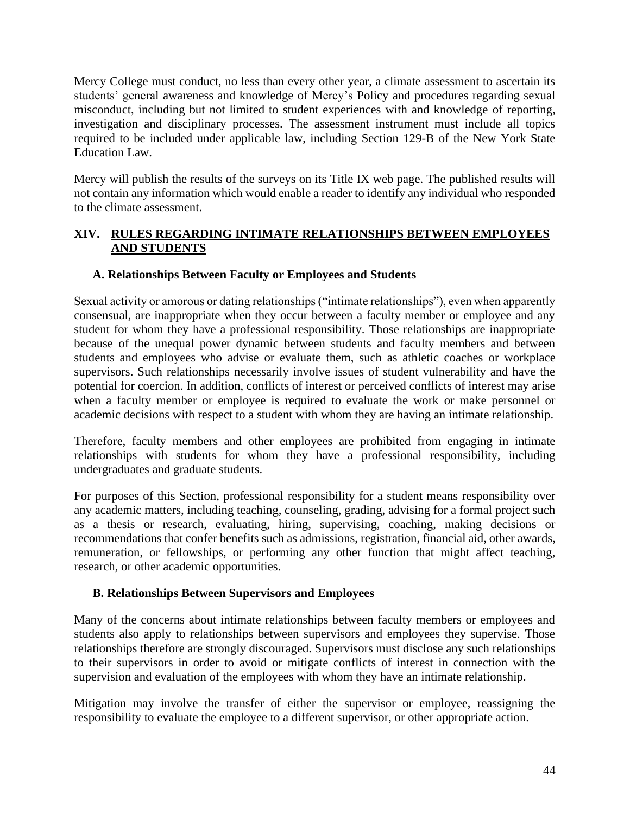Mercy College must conduct, no less than every other year, a climate assessment to ascertain its students' general awareness and knowledge of Mercy's Policy and procedures regarding sexual misconduct, including but not limited to student experiences with and knowledge of reporting, investigation and disciplinary processes. The assessment instrument must include all topics required to be included under applicable law, including Section 129-B of the New York State Education Law.

Mercy will publish the results of the surveys on its Title IX web page. The published results will not contain any information which would enable a reader to identify any individual who responded to the climate assessment.

### **XIV. RULES REGARDING INTIMATE RELATIONSHIPS BETWEEN EMPLOYEES AND STUDENTS**

### **A. Relationships Between Faculty or Employees and Students**

Sexual activity or amorous or dating relationships ("intimate relationships"), even when apparently consensual, are inappropriate when they occur between a faculty member or employee and any student for whom they have a professional responsibility. Those relationships are inappropriate because of the unequal power dynamic between students and faculty members and between students and employees who advise or evaluate them, such as athletic coaches or workplace supervisors. Such relationships necessarily involve issues of student vulnerability and have the potential for coercion. In addition, conflicts of interest or perceived conflicts of interest may arise when a faculty member or employee is required to evaluate the work or make personnel or academic decisions with respect to a student with whom they are having an intimate relationship.

Therefore, faculty members and other employees are prohibited from engaging in intimate relationships with students for whom they have a professional responsibility, including undergraduates and graduate students.

For purposes of this Section, professional responsibility for a student means responsibility over any academic matters, including teaching, counseling, grading, advising for a formal project such as a thesis or research, evaluating, hiring, supervising, coaching, making decisions or recommendations that confer benefits such as admissions, registration, financial aid, other awards, remuneration, or fellowships, or performing any other function that might affect teaching, research, or other academic opportunities.

### **B. Relationships Between Supervisors and Employees**

Many of the concerns about intimate relationships between faculty members or employees and students also apply to relationships between supervisors and employees they supervise. Those relationships therefore are strongly discouraged. Supervisors must disclose any such relationships to their supervisors in order to avoid or mitigate conflicts of interest in connection with the supervision and evaluation of the employees with whom they have an intimate relationship.

Mitigation may involve the transfer of either the supervisor or employee, reassigning the responsibility to evaluate the employee to a different supervisor, or other appropriate action.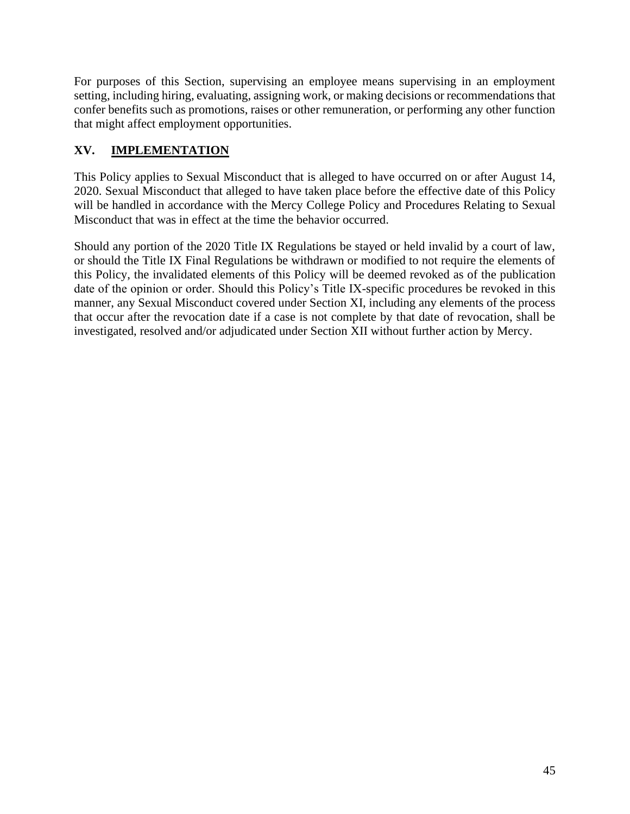For purposes of this Section, supervising an employee means supervising in an employment setting, including hiring, evaluating, assigning work, or making decisions or recommendations that confer benefits such as promotions, raises or other remuneration, or performing any other function that might affect employment opportunities.

# **XV. IMPLEMENTATION**

This Policy applies to Sexual Misconduct that is alleged to have occurred on or after August 14, 2020. Sexual Misconduct that alleged to have taken place before the effective date of this Policy will be handled in accordance with the Mercy College Policy and Procedures Relating to Sexual Misconduct that was in effect at the time the behavior occurred.

Should any portion of the 2020 Title IX Regulations be stayed or held invalid by a court of law, or should the Title IX Final Regulations be withdrawn or modified to not require the elements of this Policy, the invalidated elements of this Policy will be deemed revoked as of the publication date of the opinion or order. Should this Policy's Title IX-specific procedures be revoked in this manner, any Sexual Misconduct covered under Section XI, including any elements of the process that occur after the revocation date if a case is not complete by that date of revocation, shall be investigated, resolved and/or adjudicated under Section XII without further action by Mercy.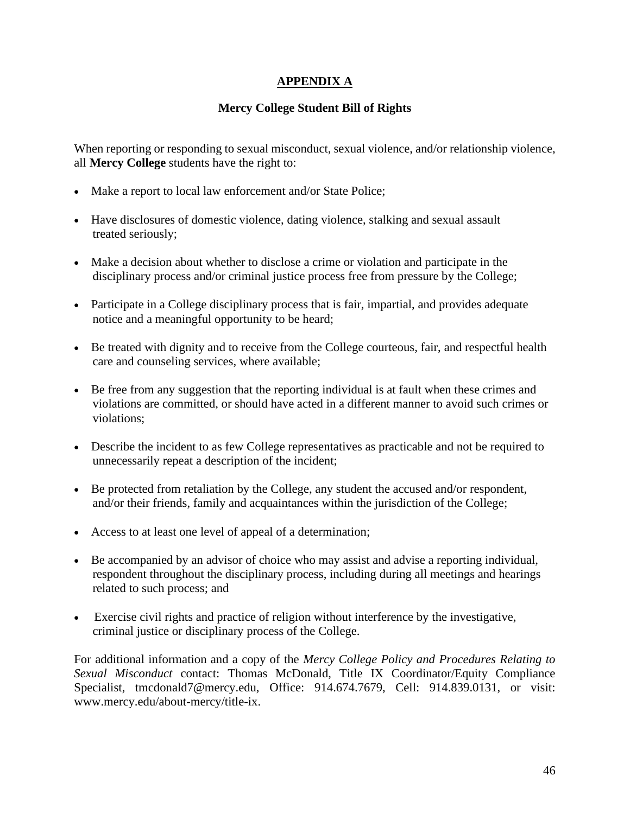### **APPENDIX A**

### **Mercy College Student Bill of Rights**

When reporting or responding to sexual misconduct, sexual violence, and/or relationship violence, all **Mercy College** students have the right to:

- Make a report to local law enforcement and/or State Police;
- Have disclosures of domestic violence, dating violence, stalking and sexual assault treated seriously;
- Make a decision about whether to disclose a crime or violation and participate in the disciplinary process and/or criminal justice process free from pressure by the College;
- Participate in a College disciplinary process that is fair, impartial, and provides adequate notice and a meaningful opportunity to be heard;
- Be treated with dignity and to receive from the College courteous, fair, and respectful health care and counseling services, where available;
- Be free from any suggestion that the reporting individual is at fault when these crimes and violations are committed, or should have acted in a different manner to avoid such crimes or violations;
- Describe the incident to as few College representatives as practicable and not be required to unnecessarily repeat a description of the incident;
- Be protected from retaliation by the College, any student the accused and/or respondent, and/or their friends, family and acquaintances within the jurisdiction of the College;
- Access to at least one level of appeal of a determination;
- Be accompanied by an advisor of choice who may assist and advise a reporting individual, respondent throughout the disciplinary process, including during all meetings and hearings related to such process; and
- Exercise civil rights and practice of religion without interference by the investigative, criminal justice or disciplinary process of the College.

For additional information and a copy of the *Mercy College Policy and Procedures Relating to Sexual Misconduct* contact: Thomas McDonald, Title IX Coordinator/Equity Compliance Specialist, tmcdonald7@mercy.edu, Office: 914.674.7679, Cell: 914.839.0131, or visit: www.mercy.edu/about-mercy/title-ix.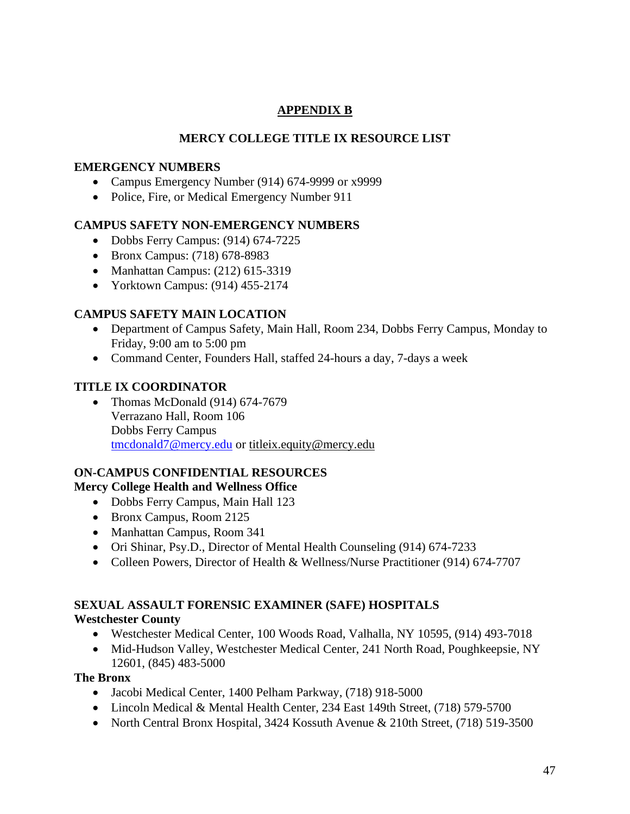# **APPENDIX B**

# **MERCY COLLEGE TITLE IX RESOURCE LIST**

### **EMERGENCY NUMBERS**

- Campus Emergency Number (914) 674-9999 or x9999
- Police, Fire, or Medical Emergency Number 911

### **CAMPUS SAFETY NON-EMERGENCY NUMBERS**

- Dobbs Ferry Campus: (914) 674-7225
- Bronx Campus: (718) 678-8983
- Manhattan Campus: (212) 615-3319
- Yorktown Campus: (914) 455-2174

### **CAMPUS SAFETY MAIN LOCATION**

- Department of Campus Safety, Main Hall, Room 234, Dobbs Ferry Campus, Monday to Friday, 9:00 am to 5:00 pm
- Command Center, Founders Hall, staffed 24-hours a day, 7-days a week

### **TITLE IX COORDINATOR**

• Thomas McDonald (914) 674-7679 Verrazano Hall, Room 106 Dobbs Ferry Campus [tmcdonald7@mercy.edu](mailto:tmcdonald7@mercy.edu) or [titleix.equity@mercy.edu](mailto:titleix.equity@mercy.edu)

# **ON-CAMPUS CONFIDENTIAL RESOURCES**

### **Mercy College Health and Wellness Office**

- Dobbs Ferry Campus, Main Hall 123
- Bronx Campus, Room 2125
- Manhattan Campus, Room 341
- Ori Shinar, Psy.D., Director of Mental Health Counseling (914) 674-7233
- Colleen Powers, Director of Health & Wellness/Nurse Practitioner (914) 674-7707

### **SEXUAL ASSAULT FORENSIC EXAMINER (SAFE) HOSPITALS Westchester County**

- Westchester Medical Center, 100 Woods Road, Valhalla, NY 10595, (914) 493-7018
- Mid-Hudson Valley, Westchester Medical Center, 241 North Road, Poughkeepsie, NY 12601, (845) 483-5000

### **The Bronx**

- Jacobi Medical Center, 1400 Pelham Parkway, (718) 918-5000
- Lincoln Medical & Mental Health Center, 234 East 149th Street, (718) 579-5700
- North Central Bronx Hospital, 3424 Kossuth Avenue & 210th Street, (718) 519-3500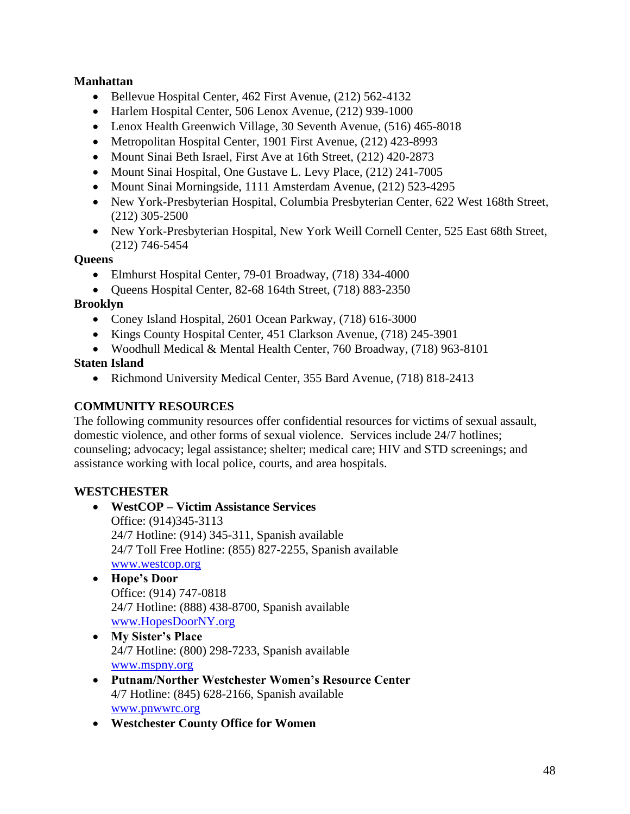### **Manhattan**

- Bellevue Hospital Center, 462 First Avenue, (212) 562-4132
- Harlem Hospital Center, 506 Lenox Avenue, (212) 939-1000
- Lenox Health Greenwich Village, 30 Seventh Avenue, (516) 465-8018
- Metropolitan Hospital Center, 1901 First Avenue, (212) 42[3](https://profiles.health.ny.gov/hospital/view/102950#ServicesBox)-8993
- Mount Sinai Beth Israel, First Ave at 16th Street, (212) 420-2873
- Mount Sinai Hospital, One Gustave L. Levy Place, (212) 241-7005
- Mount Sinai Morningside, 1111 Amsterdam Avenue, (212) 523-4295
- New York-Presbyterian Hospital, Columbia Presbyterian Center, 622 West 168th Street, (212) 305-2500
- New York-Presbyterian Hospital, New York Weill Cornell Center, 525 East 68th Street, (212) 746-5454

### **Queens**

- Elmhurst Hospital Center, 79-01 Broadway, (718) 334-4000
- Queens Hospital Center, 82-68 164th Street, (718) 883-2350

### **Brooklyn**

- Coney Island Hospital, 2601 Ocean Parkway, (718) 616-3000
- Kings County Hospital Center, 451 Clarkson Avenue, (718) 245-3901
- Woodhull Medical & Mental Health Center, 760 Broadway, (718) 963-8101

### **Staten Island**

• Richmond University Medical Center, 355 Bard Avenue, (718) 818-2413

## **COMMUNITY RESOURCES**

The following community resources offer confidential resources for victims of sexual assault, domestic violence, and other forms of sexual violence. Services include 24/7 hotlines; counseling; advocacy; legal assistance; shelter; medical care; HIV and STD screenings; and assistance working with local police, courts, and area hospitals.

# **WESTCHESTER**

- **WestCOP – Victim Assistance Services** Office: (914)345-3113 24/7 Hotline: (914) 345-311, Spanish available 24/7 Toll Free Hotline: (855) 827-2255, Spanish available [www.westcop.org](http://www.westcop.org/)
- **Hope's Door**  Office: (914) 747-0818 24/7 Hotline: (888) 438-8700, Spanish available [www.HopesDoorNY.org](http://www.hopesdoorny.org/)
- **My Sister's Place** 24/7 Hotline: (800) 298-7233, Spanish available [www.mspny.org](http://www.mspny.org/)
- **Putnam/Norther Westchester Women's Resource Center** 4/7 Hotline: (845) 628-2166, Spanish available [www.pnwwrc.org](http://www.pnwwrc.org/)
- **Westchester County Office for Women**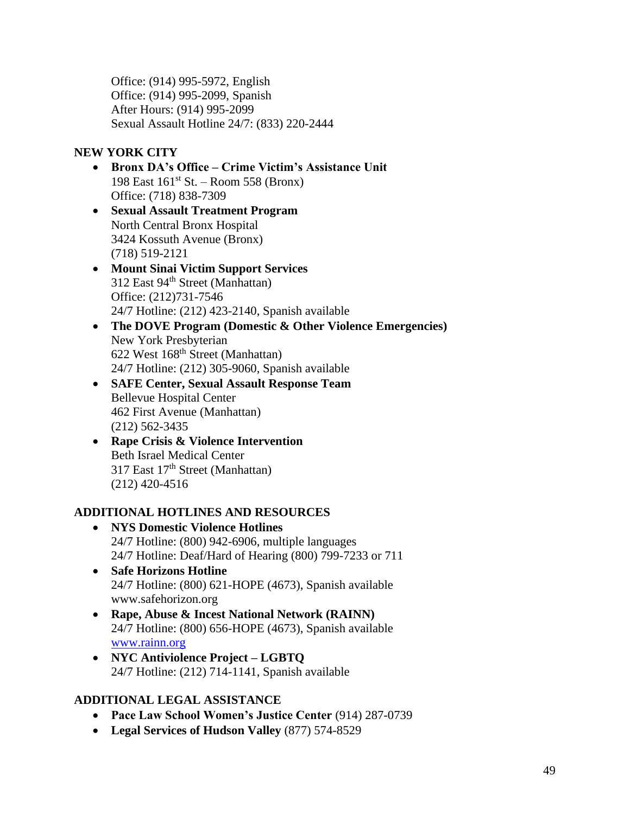Office: (914) 995-5972, English Office: (914) 995-2099, Spanish After Hours: (914) 995-2099 Sexual Assault Hotline 24/7: (833) 220-2444

# **NEW YORK CITY**

- **Bronx DA's Office – Crime Victim's Assistance Unit** 198 East  $161<sup>st</sup>$  St. – Room 558 (Bronx) Office: (718) 838-7309
- **Sexual Assault Treatment Program** North Central Bronx Hospital 3424 Kossuth Avenue (Bronx) (718) 519-2121
- **Mount Sinai Victim Support Services** 312 East 94<sup>th</sup> Street (Manhattan) Office: (212)731-7546 24/7 Hotline: (212) 423-2140, Spanish available
- **The DOVE Program (Domestic & Other Violence Emergencies)** New York Presbyterian 622 West 168th Street (Manhattan) 24/7 Hotline: (212) 305-9060, Spanish available
- **SAFE Center, Sexual Assault Response Team** Bellevue Hospital Center 462 First Avenue (Manhattan) (212) 562-3435
- **Rape Crisis & Violence Intervention** Beth Israel Medical Center 317 East 17<sup>th</sup> Street (Manhattan) (212) 420-4516

# **ADDITIONAL HOTLINES AND RESOURCES**

- **NYS Domestic Violence Hotlines** 24/7 Hotline: (800) 942-6906, multiple languages 24/7 Hotline: Deaf/Hard of Hearing (800) 799-7233 or 711
- **Safe Horizons Hotline** 24/7 Hotline: (800) 621-HOPE (4673), Spanish available www.safehorizon.org
- **Rape, Abuse & Incest National Network (RAINN)** 24/7 Hotline: (800) 656-HOPE (4673), Spanish available [www.rainn.org](http://www.rainn.org/)
- **NYC Antiviolence Project – LGBTQ**  24/7 Hotline: (212) 714-1141, Spanish available

# **ADDITIONAL LEGAL ASSISTANCE**

- **Pace Law School Women's Justice Center** (914) 287-0739
- **Legal Services of Hudson Valley** (877) 574-8529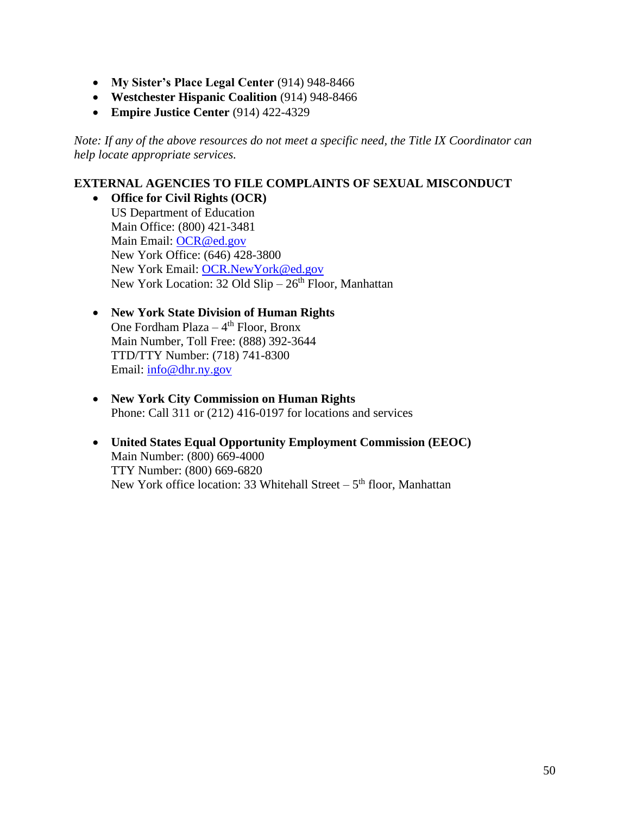- **My Sister's Place Legal Center** (914) 948-8466
- **Westchester Hispanic Coalition** (914) 948-8466
- **Empire Justice Center** (914) 422-4329

*Note: If any of the above resources do not meet a specific need, the Title IX Coordinator can help locate appropriate services.*

#### **EXTERNAL AGENCIES TO FILE COMPLAINTS OF SEXUAL MISCONDUCT**

- **Office for Civil Rights (OCR)** US Department of Education Main Office: (800) 421-3481 Main Email: [OCR@ed.gov](mailto:OCR@ed.gov) New York Office: (646) 428-3800 New York Email: [OCR.NewYork@ed.gov](mailto:OCR.NewYork@ed.gov) New York Location: 32 Old  $Slip-26<sup>th</sup>$  Floor, Manhattan
- **New York State Division of Human Rights** One Fordham Plaza – 4<sup>th</sup> Floor, Bronx Main Number, Toll Free: (888) 392-3644 TTD/TTY Number: (718) 741-8300 Email: [info@dhr.ny.gov](mailto:info@dhr.ny.gov)
- **New York City Commission on Human Rights** Phone: Call 311 or (212) 416-0197 for locations and services
- **United States Equal Opportunity Employment Commission (EEOC)** Main Number: (800) 669-4000 TTY Number: (800) 669-6820 New York office location: 33 Whitehall Street – 5<sup>th</sup> floor, Manhattan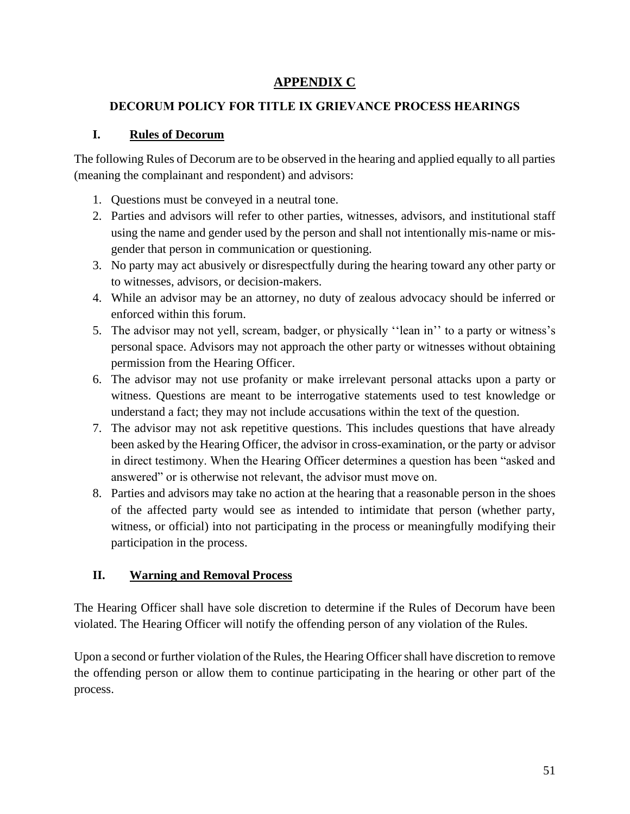# **APPENDIX C**

## **DECORUM POLICY FOR TITLE IX GRIEVANCE PROCESS HEARINGS**

### **I. Rules of Decorum**

The following Rules of Decorum are to be observed in the hearing and applied equally to all parties (meaning the complainant and respondent) and advisors:

- 1. Questions must be conveyed in a neutral tone.
- 2. Parties and advisors will refer to other parties, witnesses, advisors, and institutional staff using the name and gender used by the person and shall not intentionally mis-name or misgender that person in communication or questioning.
- 3. No party may act abusively or disrespectfully during the hearing toward any other party or to witnesses, advisors, or decision-makers.
- 4. While an advisor may be an attorney, no duty of zealous advocacy should be inferred or enforced within this forum.
- 5. The advisor may not yell, scream, badger, or physically ''lean in'' to a party or witness's personal space. Advisors may not approach the other party or witnesses without obtaining permission from the Hearing Officer.
- 6. The advisor may not use profanity or make irrelevant personal attacks upon a party or witness. Questions are meant to be interrogative statements used to test knowledge or understand a fact; they may not include accusations within the text of the question.
- 7. The advisor may not ask repetitive questions. This includes questions that have already been asked by the Hearing Officer, the advisor in cross-examination, or the party or advisor in direct testimony. When the Hearing Officer determines a question has been "asked and answered" or is otherwise not relevant, the advisor must move on.
- 8. Parties and advisors may take no action at the hearing that a reasonable person in the shoes of the affected party would see as intended to intimidate that person (whether party, witness, or official) into not participating in the process or meaningfully modifying their participation in the process.

# **II. Warning and Removal Process**

The Hearing Officer shall have sole discretion to determine if the Rules of Decorum have been violated. The Hearing Officer will notify the offending person of any violation of the Rules.

Upon a second or further violation of the Rules, the Hearing Officer shall have discretion to remove the offending person or allow them to continue participating in the hearing or other part of the process.